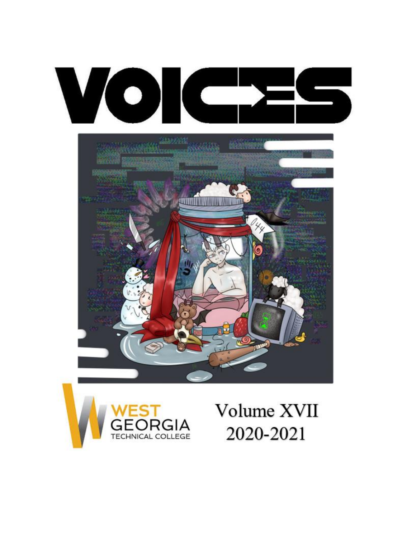





# Volume XVII 2020-2021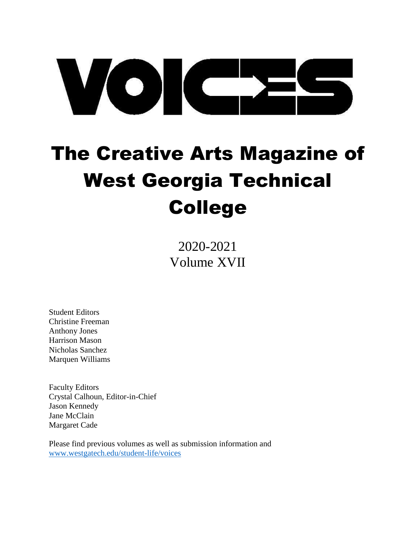# VOIC-

# <span id="page-1-0"></span>The Creative Arts Magazine of West Georgia Technical College

2020-2021 Volume XVII

Student Editors Christine Freeman Anthony Jones Harrison Mason Nicholas Sanchez Marquen Williams

Faculty Editors Crystal Calhoun, Editor-in-Chief Jason Kennedy Jane McClain Margaret Cade

Please find previous volumes as well as submission information and [www.westgatech.edu/student-life/voices](http://www.westgatech.edu/student-life/voices)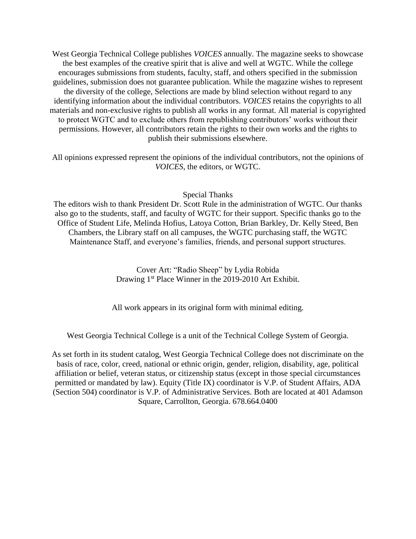West Georgia Technical College publishes *VOICES* annually. The magazine seeks to showcase the best examples of the creative spirit that is alive and well at WGTC. While the college encourages submissions from students, faculty, staff, and others specified in the submission guidelines, submission does not guarantee publication. While the magazine wishes to represent the diversity of the college, Selections are made by blind selection without regard to any identifying information about the individual contributors. *VOICES* retains the copyrights to all materials and non-exclusive rights to publish all works in any format. All material is copyrighted to protect WGTC and to exclude others from republishing contributors' works without their permissions. However, all contributors retain the rights to their own works and the rights to publish their submissions elsewhere.

All opinions expressed represent the opinions of the individual contributors, not the opinions of *VOICES*, the editors, or WGTC.

#### Special Thanks

The editors wish to thank President Dr. Scott Rule in the administration of WGTC. Our thanks also go to the students, staff, and faculty of WGTC for their support. Specific thanks go to the Office of Student Life, Melinda Hofius, Latoya Cotton, Brian Barkley, Dr. Kelly Steed, Ben Chambers, the Library staff on all campuses, the WGTC purchasing staff, the WGTC Maintenance Staff, and everyone's families, friends, and personal support structures.

> Cover Art: "Radio Sheep" by Lydia Robida Drawing 1<sup>st</sup> Place Winner in the 2019-2010 Art Exhibit.

All work appears in its original form with minimal editing.

West Georgia Technical College is a unit of the Technical College System of Georgia.

As set forth in its student catalog, West Georgia Technical College does not discriminate on the basis of race, color, creed, national or ethnic origin, gender, religion, disability, age, political affiliation or belief, veteran status, or citizenship status (except in those special circumstances permitted or mandated by law). Equity (Title IX) coordinator is V.P. of Student Affairs, ADA (Section 504) coordinator is V.P. of Administrative Services. Both are located at 401 Adamson Square, Carrollton, Georgia. 678.664.0400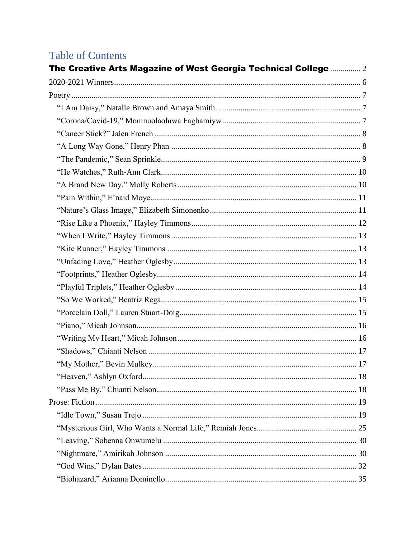# **Table of Contents**

| The Creative Arts Magazine of West Georgia Technical College  2 |  |
|-----------------------------------------------------------------|--|
|                                                                 |  |
|                                                                 |  |
|                                                                 |  |
|                                                                 |  |
|                                                                 |  |
|                                                                 |  |
|                                                                 |  |
|                                                                 |  |
|                                                                 |  |
|                                                                 |  |
|                                                                 |  |
|                                                                 |  |
|                                                                 |  |
|                                                                 |  |
|                                                                 |  |
|                                                                 |  |
|                                                                 |  |
|                                                                 |  |
|                                                                 |  |
|                                                                 |  |
|                                                                 |  |
|                                                                 |  |
|                                                                 |  |
|                                                                 |  |
|                                                                 |  |
|                                                                 |  |
|                                                                 |  |
|                                                                 |  |
|                                                                 |  |
|                                                                 |  |
|                                                                 |  |
|                                                                 |  |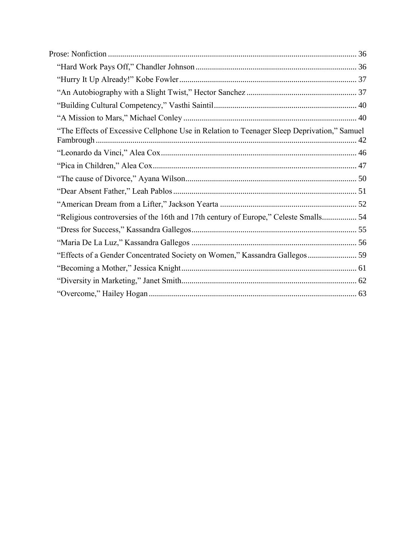| "The Effects of Excessive Cellphone Use in Relation to Teenager Sleep Deprivation," Samuel |  |
|--------------------------------------------------------------------------------------------|--|
|                                                                                            |  |
|                                                                                            |  |
|                                                                                            |  |
|                                                                                            |  |
|                                                                                            |  |
| "Religious controversies of the 16th and 17th century of Europe," Celeste Smalls 54        |  |
|                                                                                            |  |
|                                                                                            |  |
| "Effects of a Gender Concentrated Society on Women," Kassandra Gallegos 59                 |  |
|                                                                                            |  |
|                                                                                            |  |
|                                                                                            |  |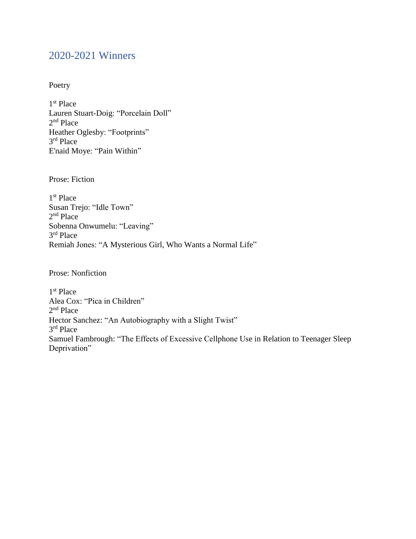# <span id="page-5-0"></span>2020-2021 Winners

# Poetry

1 st Place Lauren Stuart-Doig: "Porcelain Doll" 2<sup>nd</sup> Place Heather Oglesby: "Footprints" 3 rd Place E'naid Moye: "Pain Within"

Prose: Fiction

1 st Place Susan Trejo: "Idle Town" 2<sup>nd</sup> Place Sobenna Onwumelu: "Leaving" 3 rd Place Remiah Jones: "A Mysterious Girl, Who Wants a Normal Life"

Prose: Nonfiction

1 st Place Alea Cox: "Pica in Children" 2<sup>nd</sup> Place Hector Sanchez: "An Autobiography with a Slight Twist" 3 rd Place Samuel Fambrough: "The Effects of Excessive Cellphone Use in Relation to Teenager Sleep Deprivation"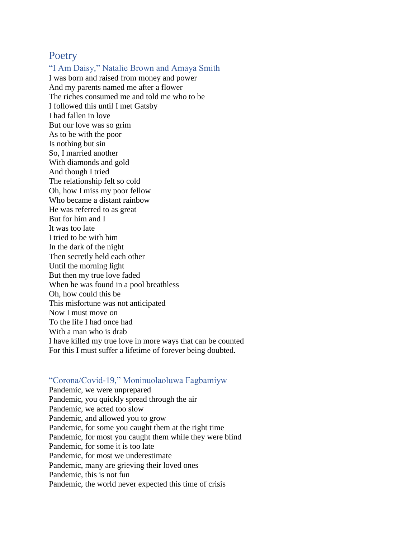# <span id="page-6-0"></span>**Poetry**

# <span id="page-6-1"></span>"I Am Daisy," Natalie Brown and Amaya Smith

I was born and raised from money and power And my parents named me after a flower The riches consumed me and told me who to be I followed this until I met Gatsby I had fallen in love But our love was so grim As to be with the poor Is nothing but sin So, I married another With diamonds and gold And though I tried The relationship felt so cold Oh, how I miss my poor fellow Who became a distant rainbow He was referred to as great But for him and I It was too late I tried to be with him In the dark of the night Then secretly held each other Until the morning light But then my true love faded When he was found in a pool breathless Oh, how could this be This misfortune was not anticipated Now I must move on To the life I had once had With a man who is drab I have killed my true love in more ways that can be counted For this I must suffer a lifetime of forever being doubted.

## <span id="page-6-2"></span>"Corona/Covid-19," Moninuolaoluwa Fagbamiyw

Pandemic, we were unprepared Pandemic, you quickly spread through the air Pandemic, we acted too slow Pandemic, and allowed you to grow Pandemic, for some you caught them at the right time Pandemic, for most you caught them while they were blind Pandemic, for some it is too late Pandemic, for most we underestimate Pandemic, many are grieving their loved ones Pandemic, this is not fun Pandemic, the world never expected this time of crisis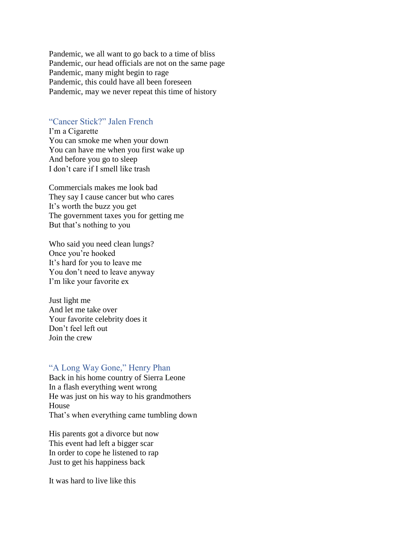Pandemic, we all want to go back to a time of bliss Pandemic, our head officials are not on the same page Pandemic, many might begin to rage Pandemic, this could have all been foreseen Pandemic, may we never repeat this time of history

# <span id="page-7-0"></span>"Cancer Stick?" Jalen French

I'm a Cigarette You can smoke me when your down You can have me when you first wake up And before you go to sleep I don't care if I smell like trash

Commercials makes me look bad They say I cause cancer but who cares It's worth the buzz you get The government taxes you for getting me But that's nothing to you

Who said you need clean lungs? Once you're hooked It's hard for you to leave me You don't need to leave anyway I'm like your favorite ex

Just light me And let me take over Your favorite celebrity does it Don't feel left out Join the crew

# <span id="page-7-1"></span>"A Long Way Gone," Henry Phan

Back in his home country of Sierra Leone In a flash everything went wrong He was just on his way to his grandmothers House That's when everything came tumbling down

His parents got a divorce but now This event had left a bigger scar In order to cope he listened to rap Just to get his happiness back

It was hard to live like this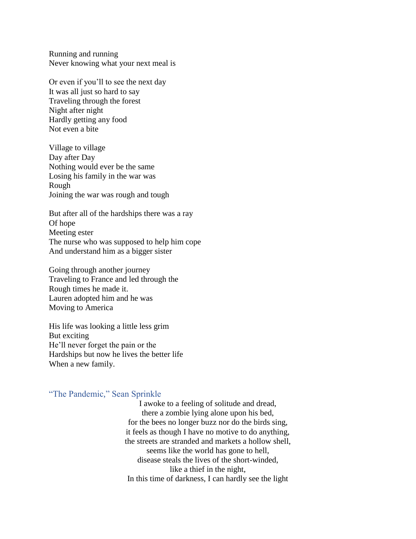Running and running Never knowing what your next meal is

Or even if you'll to see the next day It was all just so hard to say Traveling through the forest Night after night Hardly getting any food Not even a bite

Village to village Day after Day Nothing would ever be the same Losing his family in the war was Rough Joining the war was rough and tough

But after all of the hardships there was a ray Of hope Meeting ester The nurse who was supposed to help him cope And understand him as a bigger sister

Going through another journey Traveling to France and led through the Rough times he made it. Lauren adopted him and he was Moving to America

His life was looking a little less grim But exciting He'll never forget the pain or the Hardships but now he lives the better life When a new family.

# <span id="page-8-0"></span>"The Pandemic," Sean Sprinkle

I awoke to a feeling of solitude and dread, there a zombie lying alone upon his bed, for the bees no longer buzz nor do the birds sing, it feels as though I have no motive to do anything, the streets are stranded and markets a hollow shell, seems like the world has gone to hell, disease steals the lives of the short-winded, like a thief in the night, In this time of darkness, I can hardly see the light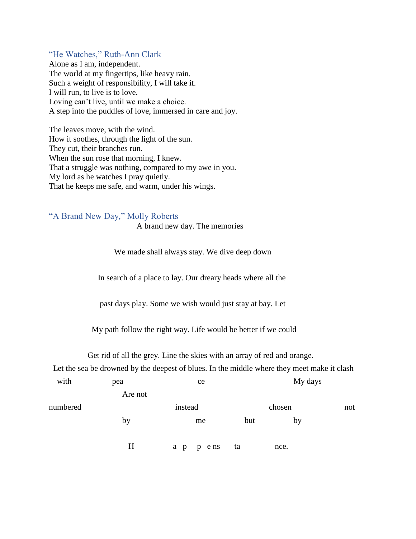# <span id="page-9-0"></span>"He Watches," Ruth-Ann Clark

Alone as I am, independent. The world at my fingertips, like heavy rain. Such a weight of responsibility, I will take it. I will run, to live is to love. Loving can't live, until we make a choice. A step into the puddles of love, immersed in care and joy.

The leaves move, with the wind. How it soothes, through the light of the sun. They cut, their branches run. When the sun rose that morning, I knew. That a struggle was nothing, compared to my awe in you. My lord as he watches I pray quietly. That he keeps me safe, and warm, under his wings.

# <span id="page-9-1"></span>"A Brand New Day," Molly Roberts

A brand new day. The memories

We made shall always stay. We dive deep down

In search of a place to lay. Our dreary heads where all the

past days play. Some we wish would just stay at bay. Let

My path follow the right way. Life would be better if we could

Get rid of all the grey. Line the skies with an array of red and orange.

Let the sea be drowned by the deepest of blues. In the middle where they meet make it clash

| with     | pea     | ce           | My days |      |     |
|----------|---------|--------------|---------|------|-----|
|          | Are not |              |         |      |     |
| numbered |         | instead      | chosen  |      | not |
|          | by      | me           | but     | by   |     |
|          | H       | p ens<br>a p | ta      | nce. |     |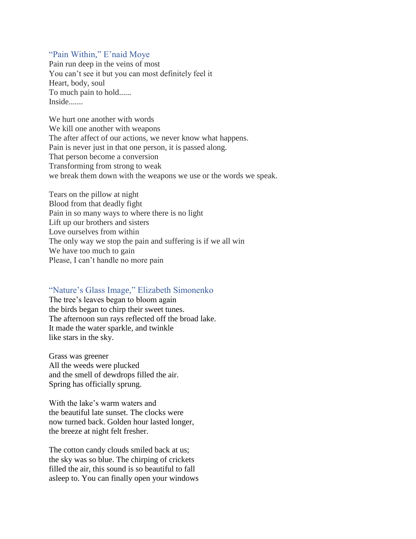# <span id="page-10-0"></span>"Pain Within," E'naid Moye

Pain run deep in the veins of most You can't see it but you can most definitely feel it Heart, body, soul To much pain to hold...... Inside.......

We hurt one another with words We kill one another with weapons The after affect of our actions, we never know what happens. Pain is never just in that one person, it is passed along. That person become a conversion Transforming from strong to weak we break them down with the weapons we use or the words we speak.

Tears on the pillow at night Blood from that deadly fight Pain in so many ways to where there is no light Lift up our brothers and sisters Love ourselves from within The only way we stop the pain and suffering is if we all win We have too much to gain Please, I can't handle no more pain

# <span id="page-10-1"></span>"Nature's Glass Image," Elizabeth Simonenko

The tree's leaves began to bloom again the birds began to chirp their sweet tunes. The afternoon sun rays reflected off the broad lake. It made the water sparkle, and twinkle like stars in the sky.

Grass was greener All the weeds were plucked and the smell of dewdrops filled the air. Spring has officially sprung.

With the lake's warm waters and the beautiful late sunset. The clocks were now turned back. Golden hour lasted longer, the breeze at night felt fresher.

The cotton candy clouds smiled back at us; the sky was so blue. The chirping of crickets filled the air, this sound is so beautiful to fall asleep to. You can finally open your windows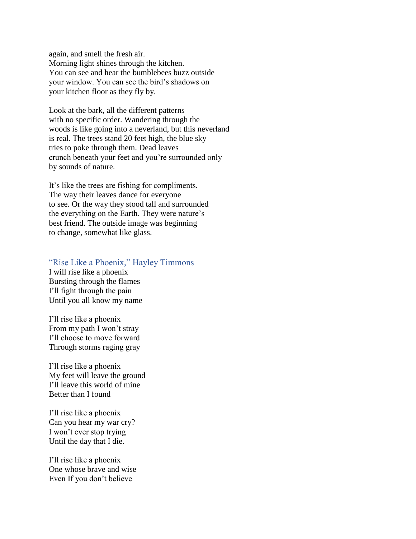again, and smell the fresh air. Morning light shines through the kitchen. You can see and hear the bumblebees buzz outside your window. You can see the bird's shadows on your kitchen floor as they fly by.

Look at the bark, all the different patterns with no specific order. Wandering through the woods is like going into a neverland, but this neverland is real. The trees stand 20 feet high, the blue sky tries to poke through them. Dead leaves crunch beneath your feet and you're surrounded only by sounds of nature.

It's like the trees are fishing for compliments. The way their leaves dance for everyone to see. Or the way they stood tall and surrounded the everything on the Earth. They were nature's best friend. The outside image was beginning to change, somewhat like glass.

# <span id="page-11-0"></span>"Rise Like a Phoenix," Hayley Timmons

I will rise like a phoenix Bursting through the flames I'll fight through the pain Until you all know my name

I'll rise like a phoenix From my path I won't stray I'll choose to move forward Through storms raging gray

I'll rise like a phoenix My feet will leave the ground I'll leave this world of mine Better than I found

I'll rise like a phoenix Can you hear my war cry? I won't ever stop trying Until the day that I die.

I'll rise like a phoenix One whose brave and wise Even If you don't believe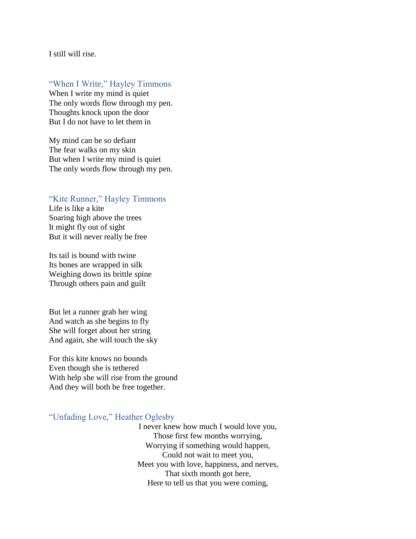I still will rise.

# <span id="page-12-0"></span>"When I Write," Hayley Timmons

When I write my mind is quiet The only words flow through my pen. Thoughts knock upon the door But I do not have to let them in

My mind can be so defiant The fear walks on my skin But when I write my mind is quiet The only words flow through my pen.

# <span id="page-12-1"></span>"Kite Runner," Hayley Timmons

Life is like a kite Soaring high above the trees It might fly out of sight But it will never really be free

Its tail is bound with twine Its bones are wrapped in silk Weighing down its brittle spine Through others pain and guilt

But let a runner grab her wing And watch as she begins to fly She will forget about her string And again, she will touch the sky

For this kite knows no bounds Even though she is tethered With help she will rise from the ground And they will both be free together.

<span id="page-12-2"></span>"Unfading Love," Heather Oglesby

I never knew how much I would love you, Those first few months worrying, Worrying if something would happen, Could not wait to meet you, Meet you with love, happiness, and nerves, That sixth month got here, Here to tell us that you were coming,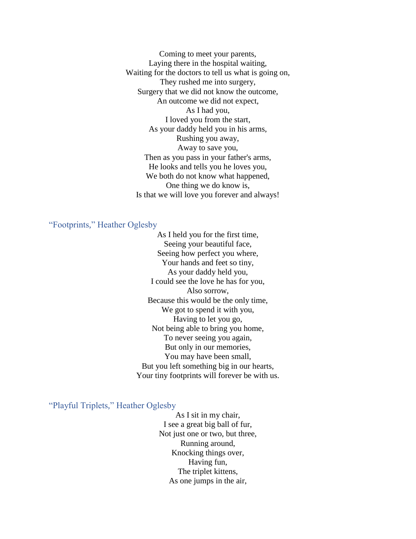Coming to meet your parents, Laying there in the hospital waiting, Waiting for the doctors to tell us what is going on, They rushed me into surgery, Surgery that we did not know the outcome, An outcome we did not expect, As I had you, I loved you from the start, As your daddy held you in his arms, Rushing you away, Away to save you, Then as you pass in your father's arms, He looks and tells you he loves you, We both do not know what happened, One thing we do know is, Is that we will love you forever and always!

# <span id="page-13-0"></span>"Footprints," Heather Oglesby

As I held you for the first time, Seeing your beautiful face, Seeing how perfect you where, Your hands and feet so tiny, As your daddy held you, I could see the love he has for you, Also sorrow, Because this would be the only time, We got to spend it with you, Having to let you go, Not being able to bring you home, To never seeing you again, But only in our memories, You may have been small, But you left something big in our hearts, Your tiny footprints will forever be with us.

<span id="page-13-1"></span>"Playful Triplets," Heather Oglesby

As I sit in my chair, I see a great big ball of fur, Not just one or two, but three, Running around, Knocking things over, Having fun, The triplet kittens, As one jumps in the air,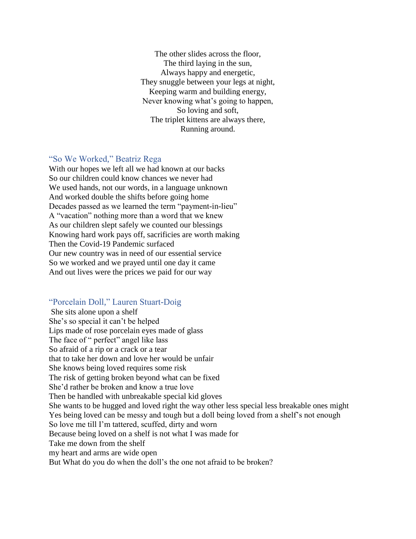The other slides across the floor, The third laying in the sun, Always happy and energetic, They snuggle between your legs at night, Keeping warm and building energy, Never knowing what's going to happen, So loving and soft, The triplet kittens are always there, Running around.

## <span id="page-14-0"></span>"So We Worked," Beatriz Rega

With our hopes we left all we had known at our backs So our children could know chances we never had We used hands, not our words, in a language unknown And worked double the shifts before going home Decades passed as we learned the term "payment-in-lieu" A "vacation" nothing more than a word that we knew As our children slept safely we counted our blessings Knowing hard work pays off, sacrificies are worth making Then the Covid-19 Pandemic surfaced Our new country was in need of our essential service So we worked and we prayed until one day it came And out lives were the prices we paid for our way

# <span id="page-14-1"></span>"Porcelain Doll," Lauren Stuart-Doig

She sits alone upon a shelf She's so special it can't be helped Lips made of rose porcelain eyes made of glass The face of " perfect" angel like lass So afraid of a rip or a crack or a tear that to take her down and love her would be unfair She knows being loved requires some risk The risk of getting broken beyond what can be fixed She'd rather be broken and know a true love Then be handled with unbreakable special kid gloves She wants to be hugged and loved right the way other less special less breakable ones might Yes being loved can be messy and tough but a doll being loved from a shelf's not enough So love me till I'm tattered, scuffed, dirty and worn Because being loved on a shelf is not what I was made for Take me down from the shelf my heart and arms are wide open But What do you do when the doll's the one not afraid to be broken?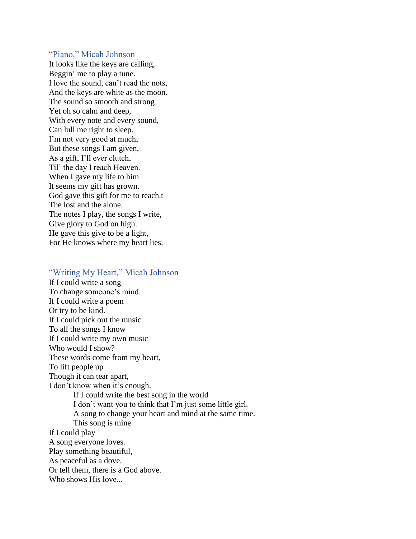# <span id="page-15-0"></span>"Piano," Micah Johnson

It looks like the keys are calling, Beggin' me to play a tune. I love the sound, can't read the nots, And the keys are white as the moon. The sound so smooth and strong Yet oh so calm and deep, With every note and every sound, Can lull me right to sleep. I'm not very good at much, But these songs I am given, As a gift, I'll ever clutch, Til' the day I reach Heaven. When I gave my life to him It seems my gift has grown. God gave this gift for me to reach.t The lost and the alone. The notes I play, the songs I write, Give glory to God on high. He gave this give to be a light, For He knows where my heart lies.

## <span id="page-15-1"></span>"Writing My Heart," Micah Johnson

If I could write a song To change someone's mind. If I could write a poem Or try to be kind. If I could pick out the music To all the songs I know If I could write my own music Who would I show? These words come from my heart, To lift people up Though it can tear apart, I don't know when it's enough. If I could write the best song in the world I don't want you to think that I'm just some little girl. A song to change your heart and mind at the same time. This song is mine. If I could play A song everyone loves. Play something beautiful, As peaceful as a dove. Or tell them, there is a God above. Who shows His love...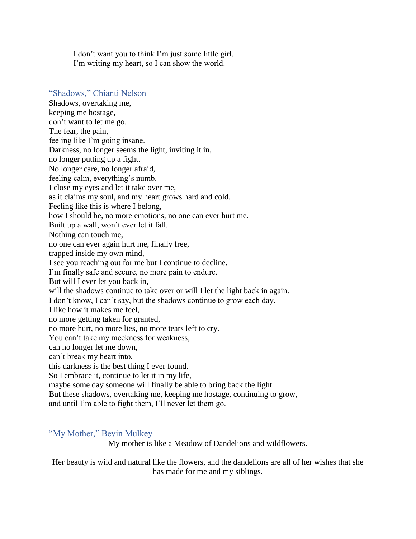I don't want you to think I'm just some little girl. I'm writing my heart, so I can show the world.

# <span id="page-16-0"></span>"Shadows," Chianti Nelson

Shadows, overtaking me, keeping me hostage, don't want to let me go. The fear, the pain, feeling like I'm going insane. Darkness, no longer seems the light, inviting it in, no longer putting up a fight. No longer care, no longer afraid, feeling calm, everything's numb. I close my eyes and let it take over me, as it claims my soul, and my heart grows hard and cold. Feeling like this is where I belong, how I should be, no more emotions, no one can ever hurt me. Built up a wall, won't ever let it fall. Nothing can touch me, no one can ever again hurt me, finally free, trapped inside my own mind, I see you reaching out for me but I continue to decline. I'm finally safe and secure, no more pain to endure. But will I ever let you back in, will the shadows continue to take over or will I let the light back in again. I don't know, I can't say, but the shadows continue to grow each day. I like how it makes me feel, no more getting taken for granted, no more hurt, no more lies, no more tears left to cry. You can't take my meekness for weakness, can no longer let me down, can't break my heart into, this darkness is the best thing I ever found. So I embrace it, continue to let it in my life, maybe some day someone will finally be able to bring back the light. But these shadows, overtaking me, keeping me hostage, continuing to grow, and until I'm able to fight them, I'll never let them go.

# <span id="page-16-1"></span>"My Mother," Bevin Mulkey

My mother is like a Meadow of Dandelions and wildflowers.

Her beauty is wild and natural like the flowers, and the dandelions are all of her wishes that she has made for me and my siblings.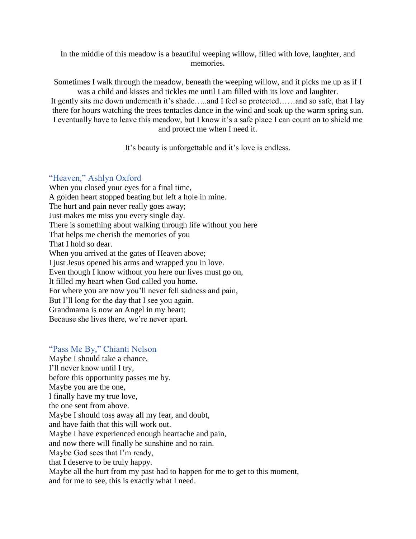In the middle of this meadow is a beautiful weeping willow, filled with love, laughter, and memories.

Sometimes I walk through the meadow, beneath the weeping willow, and it picks me up as if I was a child and kisses and tickles me until I am filled with its love and laughter. It gently sits me down underneath it's shade…..and I feel so protected……and so safe, that I lay there for hours watching the trees tentacles dance in the wind and soak up the warm spring sun. I eventually have to leave this meadow, but I know it's a safe place I can count on to shield me and protect me when I need it.

It's beauty is unforgettable and it's love is endless.

# <span id="page-17-0"></span>"Heaven," Ashlyn Oxford

When you closed your eyes for a final time, A golden heart stopped beating but left a hole in mine. The hurt and pain never really goes away; Just makes me miss you every single day. There is something about walking through life without you here That helps me cherish the memories of you That I hold so dear. When you arrived at the gates of Heaven above; I just Jesus opened his arms and wrapped you in love. Even though I know without you here our lives must go on, It filled my heart when God called you home. For where you are now you'll never fell sadness and pain, But I'll long for the day that I see you again. Grandmama is now an Angel in my heart; Because she lives there, we're never apart.

# <span id="page-17-1"></span>"Pass Me By," Chianti Nelson

Maybe I should take a chance, I'll never know until I try, before this opportunity passes me by. Maybe you are the one, I finally have my true love, the one sent from above. Maybe I should toss away all my fear, and doubt, and have faith that this will work out. Maybe I have experienced enough heartache and pain, and now there will finally be sunshine and no rain. Maybe God sees that I'm ready, that I deserve to be truly happy. Maybe all the hurt from my past had to happen for me to get to this moment, and for me to see, this is exactly what I need.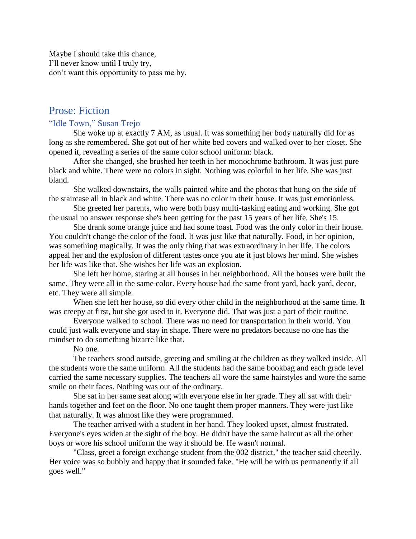Maybe I should take this chance, I'll never know until I truly try, don't want this opportunity to pass me by.

# <span id="page-18-0"></span>Prose: Fiction

# <span id="page-18-1"></span>"Idle Town," Susan Trejo

She woke up at exactly 7 AM, as usual. It was something her body naturally did for as long as she remembered. She got out of her white bed covers and walked over to her closet. She opened it, revealing a series of the same color school uniform: black.

After she changed, she brushed her teeth in her monochrome bathroom. It was just pure black and white. There were no colors in sight. Nothing was colorful in her life. She was just bland.

She walked downstairs, the walls painted white and the photos that hung on the side of the staircase all in black and white. There was no color in their house. It was just emotionless.

She greeted her parents, who were both busy multi-tasking eating and working. She got the usual no answer response she's been getting for the past 15 years of her life. She's 15.

She drank some orange juice and had some toast. Food was the only color in their house. You couldn't change the color of the food. It was just like that naturally. Food, in her opinion, was something magically. It was the only thing that was extraordinary in her life. The colors appeal her and the explosion of different tastes once you ate it just blows her mind. She wishes her life was like that. She wishes her life was an explosion.

She left her home, staring at all houses in her neighborhood. All the houses were built the same. They were all in the same color. Every house had the same front yard, back yard, decor, etc. They were all simple.

When she left her house, so did every other child in the neighborhood at the same time. It was creepy at first, but she got used to it. Everyone did. That was just a part of their routine.

Everyone walked to school. There was no need for transportation in their world. You could just walk everyone and stay in shape. There were no predators because no one has the mindset to do something bizarre like that.

No one.

The teachers stood outside, greeting and smiling at the children as they walked inside. All the students wore the same uniform. All the students had the same bookbag and each grade level carried the same necessary supplies. The teachers all wore the same hairstyles and wore the same smile on their faces. Nothing was out of the ordinary.

She sat in her same seat along with everyone else in her grade. They all sat with their hands together and feet on the floor. No one taught them proper manners. They were just like that naturally. It was almost like they were programmed.

The teacher arrived with a student in her hand. They looked upset, almost frustrated. Everyone's eyes widen at the sight of the boy. He didn't have the same haircut as all the other boys or wore his school uniform the way it should be. He wasn't normal.

"Class, greet a foreign exchange student from the 002 district," the teacher said cheerily. Her voice was so bubbly and happy that it sounded fake. "He will be with us permanently if all goes well."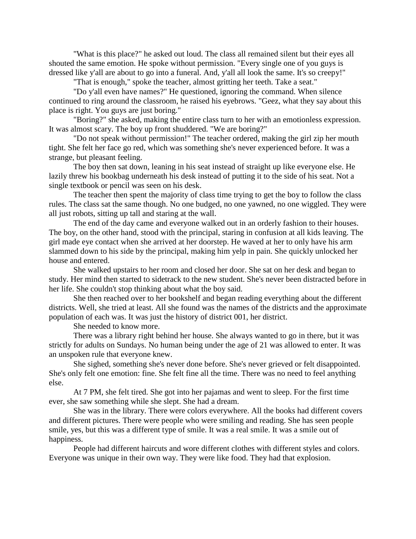"What is this place?" he asked out loud. The class all remained silent but their eyes all shouted the same emotion. He spoke without permission. "Every single one of you guys is dressed like y'all are about to go into a funeral. And, y'all all look the same. It's so creepy!"

"That is enough," spoke the teacher, almost gritting her teeth. Take a seat."

"Do y'all even have names?" He questioned, ignoring the command. When silence continued to ring around the classroom, he raised his eyebrows. "Geez, what they say about this place is right. You guys are just boring."

"Boring?" she asked, making the entire class turn to her with an emotionless expression. It was almost scary. The boy up front shuddered. "We are boring?"

"Do not speak without permission!" The teacher ordered, making the girl zip her mouth tight. She felt her face go red, which was something she's never experienced before. It was a strange, but pleasant feeling.

The boy then sat down, leaning in his seat instead of straight up like everyone else. He lazily threw his bookbag underneath his desk instead of putting it to the side of his seat. Not a single textbook or pencil was seen on his desk.

The teacher then spent the majority of class time trying to get the boy to follow the class rules. The class sat the same though. No one budged, no one yawned, no one wiggled. They were all just robots, sitting up tall and staring at the wall.

The end of the day came and everyone walked out in an orderly fashion to their houses. The boy, on the other hand, stood with the principal, staring in confusion at all kids leaving. The girl made eye contact when she arrived at her doorstep. He waved at her to only have his arm slammed down to his side by the principal, making him yelp in pain. She quickly unlocked her house and entered.

She walked upstairs to her room and closed her door. She sat on her desk and began to study. Her mind then started to sidetrack to the new student. She's never been distracted before in her life. She couldn't stop thinking about what the boy said.

She then reached over to her bookshelf and began reading everything about the different districts. Well, she tried at least. All she found was the names of the districts and the approximate population of each was. It was just the history of district 001, her district.

She needed to know more.

There was a library right behind her house. She always wanted to go in there, but it was strictly for adults on Sundays. No human being under the age of 21 was allowed to enter. It was an unspoken rule that everyone knew.

She sighed, something she's never done before. She's never grieved or felt disappointed. She's only felt one emotion: fine. She felt fine all the time. There was no need to feel anything else.

At 7 PM, she felt tired. She got into her pajamas and went to sleep. For the first time ever, she saw something while she slept. She had a dream.

She was in the library. There were colors everywhere. All the books had different covers and different pictures. There were people who were smiling and reading. She has seen people smile, yes, but this was a different type of smile. It was a real smile. It was a smile out of happiness.

People had different haircuts and wore different clothes with different styles and colors. Everyone was unique in their own way. They were like food. They had that explosion.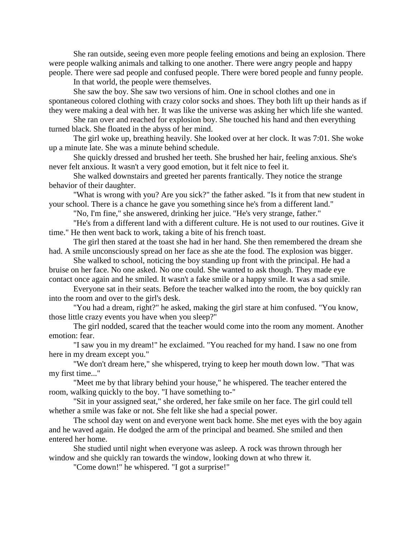She ran outside, seeing even more people feeling emotions and being an explosion. There were people walking animals and talking to one another. There were angry people and happy people. There were sad people and confused people. There were bored people and funny people.

In that world, the people were themselves.

She saw the boy. She saw two versions of him. One in school clothes and one in spontaneous colored clothing with crazy color socks and shoes. They both lift up their hands as if they were making a deal with her. It was like the universe was asking her which life she wanted.

She ran over and reached for explosion boy. She touched his hand and then everything turned black. She floated in the abyss of her mind.

The girl woke up, breathing heavily. She looked over at her clock. It was 7:01. She woke up a minute late. She was a minute behind schedule.

She quickly dressed and brushed her teeth. She brushed her hair, feeling anxious. She's never felt anxious. It wasn't a very good emotion, but it felt nice to feel it.

She walked downstairs and greeted her parents frantically. They notice the strange behavior of their daughter.

"What is wrong with you? Are you sick?" the father asked. "Is it from that new student in your school. There is a chance he gave you something since he's from a different land."

"No, I'm fine," she answered, drinking her juice. "He's very strange, father."

"He's from a different land with a different culture. He is not used to our routines. Give it time." He then went back to work, taking a bite of his french toast.

The girl then stared at the toast she had in her hand. She then remembered the dream she had. A smile unconsciously spread on her face as she ate the food. The explosion was bigger.

She walked to school, noticing the boy standing up front with the principal. He had a bruise on her face. No one asked. No one could. She wanted to ask though. They made eye contact once again and he smiled. It wasn't a fake smile or a happy smile. It was a sad smile.

Everyone sat in their seats. Before the teacher walked into the room, the boy quickly ran into the room and over to the girl's desk.

"You had a dream, right?" he asked, making the girl stare at him confused. "You know, those little crazy events you have when you sleep?"

The girl nodded, scared that the teacher would come into the room any moment. Another emotion: fear.

"I saw you in my dream!" he exclaimed. "You reached for my hand. I saw no one from here in my dream except you."

"We don't dream here," she whispered, trying to keep her mouth down low. "That was my first time..."

"Meet me by that library behind your house," he whispered. The teacher entered the room, walking quickly to the boy. "I have something to-"

"Sit in your assigned seat," she ordered, her fake smile on her face. The girl could tell whether a smile was fake or not. She felt like she had a special power.

The school day went on and everyone went back home. She met eyes with the boy again and he waved again. He dodged the arm of the principal and beamed. She smiled and then entered her home.

She studied until night when everyone was asleep. A rock was thrown through her window and she quickly ran towards the window, looking down at who threw it.

"Come down!" he whispered. "I got a surprise!"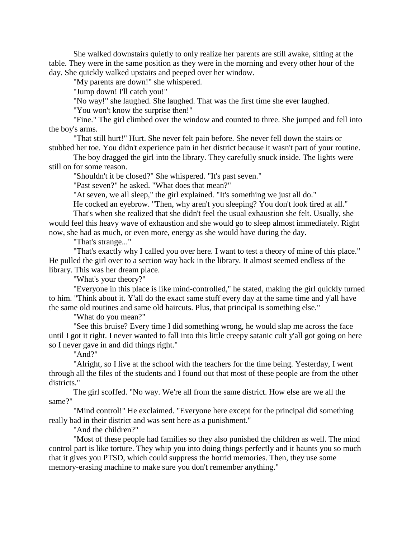She walked downstairs quietly to only realize her parents are still awake, sitting at the table. They were in the same position as they were in the morning and every other hour of the day. She quickly walked upstairs and peeped over her window.

"My parents are down!" she whispered.

"Jump down! I'll catch you!"

"No way!" she laughed. She laughed. That was the first time she ever laughed.

"You won't know the surprise then!"

"Fine." The girl climbed over the window and counted to three. She jumped and fell into the boy's arms.

"That still hurt!" Hurt. She never felt pain before. She never fell down the stairs or stubbed her toe. You didn't experience pain in her district because it wasn't part of your routine.

The boy dragged the girl into the library. They carefully snuck inside. The lights were still on for some reason.

"Shouldn't it be closed?" She whispered. "It's past seven."

"Past seven?" he asked. "What does that mean?"

"At seven, we all sleep," the girl explained. "It's something we just all do."

He cocked an eyebrow. "Then, why aren't you sleeping? You don't look tired at all."

That's when she realized that she didn't feel the usual exhaustion she felt. Usually, she would feel this heavy wave of exhaustion and she would go to sleep almost immediately. Right now, she had as much, or even more, energy as she would have during the day.

"That's strange..."

"That's exactly why I called you over here. I want to test a theory of mine of this place." He pulled the girl over to a section way back in the library. It almost seemed endless of the library. This was her dream place.

"What's your theory?"

"Everyone in this place is like mind-controlled," he stated, making the girl quickly turned to him. "Think about it. Y'all do the exact same stuff every day at the same time and y'all have the same old routines and same old haircuts. Plus, that principal is something else."

"What do you mean?"

"See this bruise? Every time I did something wrong, he would slap me across the face until I got it right. I never wanted to fall into this little creepy satanic cult y'all got going on here so I never gave in and did things right."

"And?"

"Alright, so I live at the school with the teachers for the time being. Yesterday, I went through all the files of the students and I found out that most of these people are from the other districts."

The girl scoffed. "No way. We're all from the same district. How else are we all the same?"

"Mind control!" He exclaimed. "Everyone here except for the principal did something really bad in their district and was sent here as a punishment."

"And the children?"

"Most of these people had families so they also punished the children as well. The mind control part is like torture. They whip you into doing things perfectly and it haunts you so much that it gives you PTSD, which could suppress the horrid memories. Then, they use some memory-erasing machine to make sure you don't remember anything."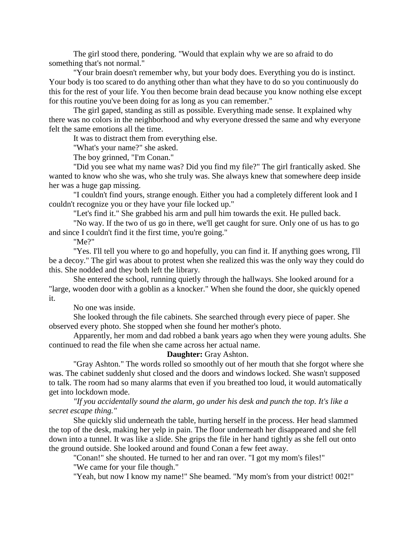The girl stood there, pondering. "Would that explain why we are so afraid to do something that's not normal."

"Your brain doesn't remember why, but your body does. Everything you do is instinct. Your body is too scared to do anything other than what they have to do so you continuously do this for the rest of your life. You then become brain dead because you know nothing else except for this routine you've been doing for as long as you can remember."

The girl gaped, standing as still as possible. Everything made sense. It explained why there was no colors in the neighborhood and why everyone dressed the same and why everyone felt the same emotions all the time.

It was to distract them from everything else.

"What's your name?" she asked.

The boy grinned, "I'm Conan."

"Did you see what my name was? Did you find my file?" The girl frantically asked. She wanted to know who she was, who she truly was. She always knew that somewhere deep inside her was a huge gap missing.

"I couldn't find yours, strange enough. Either you had a completely different look and I couldn't recognize you or they have your file locked up."

"Let's find it." She grabbed his arm and pull him towards the exit. He pulled back.

"No way. If the two of us go in there, we'll get caught for sure. Only one of us has to go and since I couldn't find it the first time, you're going."

"Me?"

"Yes. I'll tell you where to go and hopefully, you can find it. If anything goes wrong, I'll be a decoy." The girl was about to protest when she realized this was the only way they could do this. She nodded and they both left the library.

She entered the school, running quietly through the hallways. She looked around for a "large, wooden door with a goblin as a knocker." When she found the door, she quickly opened it.

No one was inside.

She looked through the file cabinets. She searched through every piece of paper. She observed every photo. She stopped when she found her mother's photo.

Apparently, her mom and dad robbed a bank years ago when they were young adults. She continued to read the file when she came across her actual name.

#### **Daughter:** Gray Ashton.

"Gray Ashton." The words rolled so smoothly out of her mouth that she forgot where she was. The cabinet suddenly shut closed and the doors and windows locked. She wasn't supposed to talk. The room had so many alarms that even if you breathed too loud, it would automatically get into lockdown mode.

*"If you accidentally sound the alarm, go under his desk and punch the top. It's like a secret escape thing."*

She quickly slid underneath the table, hurting herself in the process. Her head slammed the top of the desk, making her yelp in pain. The floor underneath her disappeared and she fell down into a tunnel. It was like a slide. She grips the file in her hand tightly as she fell out onto the ground outside. She looked around and found Conan a few feet away.

"Conan!" she shouted. He turned to her and ran over. "I got my mom's files!"

"We came for your file though."

"Yeah, but now I know my name!" She beamed. "My mom's from your district! 002!"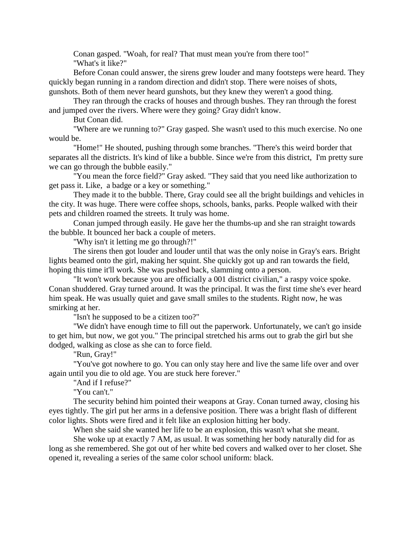Conan gasped. "Woah, for real? That must mean you're from there too!" "What's it like?"

Before Conan could answer, the sirens grew louder and many footsteps were heard. They quickly began running in a random direction and didn't stop. There were noises of shots, gunshots. Both of them never heard gunshots, but they knew they weren't a good thing.

They ran through the cracks of houses and through bushes. They ran through the forest and jumped over the rivers. Where were they going? Gray didn't know.

But Conan did.

"Where are we running to?" Gray gasped. She wasn't used to this much exercise. No one would be.

"Home!" He shouted, pushing through some branches. "There's this weird border that separates all the districts. It's kind of like a bubble. Since we're from this district, I'm pretty sure we can go through the bubble easily."

"You mean the force field?" Gray asked. "They said that you need like authorization to get pass it. Like, a badge or a key or something."

They made it to the bubble. There, Gray could see all the bright buildings and vehicles in the city. It was huge. There were coffee shops, schools, banks, parks. People walked with their pets and children roamed the streets. It truly was home.

Conan jumped through easily. He gave her the thumbs-up and she ran straight towards the bubble. It bounced her back a couple of meters.

"Why isn't it letting me go through?!"

The sirens then got louder and louder until that was the only noise in Gray's ears. Bright lights beamed onto the girl, making her squint. She quickly got up and ran towards the field, hoping this time it'll work. She was pushed back, slamming onto a person.

"It won't work because you are officially a 001 district civilian," a raspy voice spoke. Conan shuddered. Gray turned around. It was the principal. It was the first time she's ever heard him speak. He was usually quiet and gave small smiles to the students. Right now, he was smirking at her.

"Isn't he supposed to be a citizen too?"

"We didn't have enough time to fill out the paperwork. Unfortunately, we can't go inside to get him, but now, we got you." The principal stretched his arms out to grab the girl but she dodged, walking as close as she can to force field.

"Run, Gray!"

"You've got nowhere to go. You can only stay here and live the same life over and over again until you die to old age. You are stuck here forever."

"And if I refuse?"

"You can't."

The security behind him pointed their weapons at Gray. Conan turned away, closing his eyes tightly. The girl put her arms in a defensive position. There was a bright flash of different color lights. Shots were fired and it felt like an explosion hitting her body.

When she said she wanted her life to be an explosion, this wasn't what she meant.

She woke up at exactly 7 AM, as usual. It was something her body naturally did for as long as she remembered. She got out of her white bed covers and walked over to her closet. She opened it, revealing a series of the same color school uniform: black.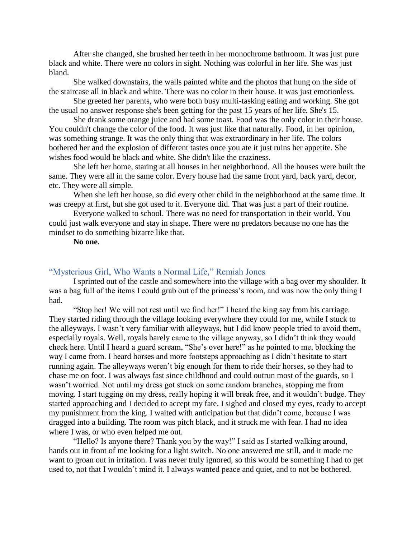After she changed, she brushed her teeth in her monochrome bathroom. It was just pure black and white. There were no colors in sight. Nothing was colorful in her life. She was just bland.

She walked downstairs, the walls painted white and the photos that hung on the side of the staircase all in black and white. There was no color in their house. It was just emotionless.

She greeted her parents, who were both busy multi-tasking eating and working. She got the usual no answer response she's been getting for the past 15 years of her life. She's 15.

She drank some orange juice and had some toast. Food was the only color in their house. You couldn't change the color of the food. It was just like that naturally. Food, in her opinion, was something strange. It was the only thing that was extraordinary in her life. The colors bothered her and the explosion of different tastes once you ate it just ruins her appetite. She wishes food would be black and white. She didn't like the craziness.

She left her home, staring at all houses in her neighborhood. All the houses were built the same. They were all in the same color. Every house had the same front yard, back yard, decor, etc. They were all simple.

When she left her house, so did every other child in the neighborhood at the same time. It was creepy at first, but she got used to it. Everyone did. That was just a part of their routine.

Everyone walked to school. There was no need for transportation in their world. You could just walk everyone and stay in shape. There were no predators because no one has the mindset to do something bizarre like that.

**No one.**

#### <span id="page-24-0"></span>"Mysterious Girl, Who Wants a Normal Life," Remiah Jones

I sprinted out of the castle and somewhere into the village with a bag over my shoulder. It was a bag full of the items I could grab out of the princess's room, and was now the only thing I had.

"Stop her! We will not rest until we find her!" I heard the king say from his carriage. They started riding through the village looking everywhere they could for me, while I stuck to the alleyways. I wasn't very familiar with alleyways, but I did know people tried to avoid them, especially royals. Well, royals barely came to the village anyway, so I didn't think they would check here. Until I heard a guard scream, "She's over here!" as he pointed to me, blocking the way I came from. I heard horses and more footsteps approaching as I didn't hesitate to start running again. The alleyways weren't big enough for them to ride their horses, so they had to chase me on foot. I was always fast since childhood and could outrun most of the guards, so I wasn't worried. Not until my dress got stuck on some random branches, stopping me from moving. I start tugging on my dress, really hoping it will break free, and it wouldn't budge. They started approaching and I decided to accept my fate. I sighed and closed my eyes, ready to accept my punishment from the king. I waited with anticipation but that didn't come, because I was dragged into a building. The room was pitch black, and it struck me with fear. I had no idea where I was, or who even helped me out.

"Hello? Is anyone there? Thank you by the way!" I said as I started walking around, hands out in front of me looking for a light switch. No one answered me still, and it made me want to groan out in irritation. I was never truly ignored, so this would be something I had to get used to, not that I wouldn't mind it. I always wanted peace and quiet, and to not be bothered.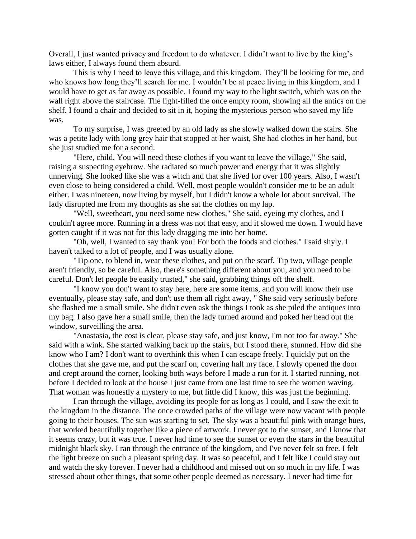Overall, I just wanted privacy and freedom to do whatever. I didn't want to live by the king's laws either, I always found them absurd.

This is why I need to leave this village, and this kingdom. They'll be looking for me, and who knows how long they'll search for me. I wouldn't be at peace living in this kingdom, and I would have to get as far away as possible. I found my way to the light switch, which was on the wall right above the staircase. The light-filled the once empty room, showing all the antics on the shelf. I found a chair and decided to sit in it, hoping the mysterious person who saved my life was.

To my surprise, I was greeted by an old lady as she slowly walked down the stairs. She was a petite lady with long grey hair that stopped at her waist, She had clothes in her hand, but she just studied me for a second.

"Here, child. You will need these clothes if you want to leave the village," She said, raising a suspecting eyebrow. She radiated so much power and energy that it was slightly unnerving. She looked like she was a witch and that she lived for over 100 years. Also, I wasn't even close to being considered a child. Well, most people wouldn't consider me to be an adult either. I was nineteen, now living by myself, but I didn't know a whole lot about survival. The lady disrupted me from my thoughts as she sat the clothes on my lap.

"Well, sweetheart, you need some new clothes," She said, eyeing my clothes, and I couldn't agree more. Running in a dress was not that easy, and it slowed me down. I would have gotten caught if it was not for this lady dragging me into her home.

"Oh, well, I wanted to say thank you! For both the foods and clothes." I said shyly. I haven't talked to a lot of people, and I was usually alone.

"Tip one, to blend in, wear these clothes, and put on the scarf. Tip two, village people aren't friendly, so be careful. Also, there's something different about you, and you need to be careful. Don't let people be easily trusted," she said, grabbing things off the shelf.

"I know you don't want to stay here, here are some items, and you will know their use eventually, please stay safe, and don't use them all right away, " She said very seriously before she flashed me a small smile. She didn't even ask the things I took as she piled the antiques into my bag. I also gave her a small smile, then the lady turned around and poked her head out the window, surveilling the area.

"Anastasia, the cost is clear, please stay safe, and just know, I'm not too far away." She said with a wink. She started walking back up the stairs, but I stood there, stunned. How did she know who I am? I don't want to overthink this when I can escape freely. I quickly put on the clothes that she gave me, and put the scarf on, covering half my face. I slowly opened the door and crept around the corner, looking both ways before I made a run for it. I started running, not before I decided to look at the house I just came from one last time to see the women waving. That woman was honestly a mystery to me, but little did I know, this was just the beginning.

I ran through the village, avoiding its people for as long as I could, and I saw the exit to the kingdom in the distance. The once crowded paths of the village were now vacant with people going to their houses. The sun was starting to set. The sky was a beautiful pink with orange hues, that worked beautifully together like a piece of artwork. I never got to the sunset, and I know that it seems crazy, but it was true. I never had time to see the sunset or even the stars in the beautiful midnight black sky. I ran through the entrance of the kingdom, and I've never felt so free. I felt the light breeze on such a pleasant spring day. It was so peaceful, and I felt like I could stay out and watch the sky forever. I never had a childhood and missed out on so much in my life. I was stressed about other things, that some other people deemed as necessary. I never had time for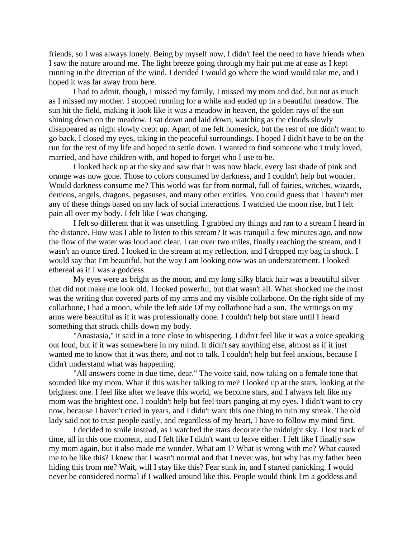friends, so I was always lonely. Being by myself now, I didn't feel the need to have friends when I saw the nature around me. The light breeze going through my hair put me at ease as I kept running in the direction of the wind. I decided I would go where the wind would take me, and I hoped it was far away from here.

I had to admit, though, I missed my family, I missed my mom and dad, but not as much as I missed my mother. I stopped running for a while and ended up in a beautiful meadow. The sun hit the field, making it look like it was a meadow in heaven, the golden rays of the sun shining down on the meadow. I sat down and laid down, watching as the clouds slowly disappeared as night slowly crept up. Apart of me felt homesick, but the rest of me didn't want to go back. I closed my eyes, taking in the peaceful surroundings. I hoped I didn't have to be on the run for the rest of my life and hoped to settle down. I wanted to find someone who I truly loved, married, and have children with, and hoped to forget who I use to be.

I looked back up at the sky and saw that it was now black, every last shade of pink and orange was now gone. Those to colors consumed by darkness, and I couldn't help but wonder. Would darkness consume me? This world was far from normal, full of fairies, witches, wizards, demons, angels, dragons, pegasuses, and many other entities. You could guess that I haven't met any of these things based on my lack of social interactions. I watched the moon rise, but I felt pain all over my body. I felt like I was changing.

I felt so different that it was unsettling. I grabbed my things and ran to a stream I heard in the distance. How was I able to listen to this stream? It was tranquil a few minutes ago, and now the flow of the water was loud and clear. I ran over two miles, finally reaching the stream, and I wasn't an ounce tired. I looked in the stream at my reflection, and I dropped my bag in shock. I would say that I'm beautiful, but the way I am looking now was an understatement. I looked ethereal as if I was a goddess.

My eyes were as bright as the moon, and my long silky black hair was a beautiful silver that did not make me look old. I looked powerful, but that wasn't all. What shocked me the most was the writing that covered parts of my arms and my visible collarbone. On the right side of my collarbone, I had a moon, while the left side Of my collarbone had a sun. The writings on my arms were beautiful as if it was professionally done. I couldn't help but stare until I heard something that struck chills down my body.

"Anastasia," it said in a tone close to whispering. I didn't feel like it was a voice speaking out loud, but if it was somewhere in my mind. It didn't say anything else, almost as if it just wanted me to know that it was there, and not to talk. I couldn't help but feel anxious, because I didn't understand what was happening.

"All answers come in due time, dear." The voice said, now taking on a female tone that sounded like my mom. What if this was her talking to me? I looked up at the stars, looking at the brightest one. I feel like after we leave this world, we become stars, and I always felt like my mom was the brightest one. I couldn't help but feel tears panging at my eyes. I didn't want to cry now, because I haven't cried in years, and I didn't want this one thing to ruin my streak. The old lady said not to trust people easily, and regardless of my heart, I have to follow my mind first.

I decided to smile instead, as I watched the stars decorate the midnight sky. I lost track of time, all in this one moment, and I felt like I didn't want to leave either. I felt like I finally saw my mom again, but it also made me wonder. What am I? What is wrong with me? What caused me to be like this? I knew that I wasn't normal and that I never was, but why has my father been hiding this from me? Wait, will I stay like this? Fear sunk in, and I started panicking. I would never be considered normal if I walked around like this. People would think I'm a goddess and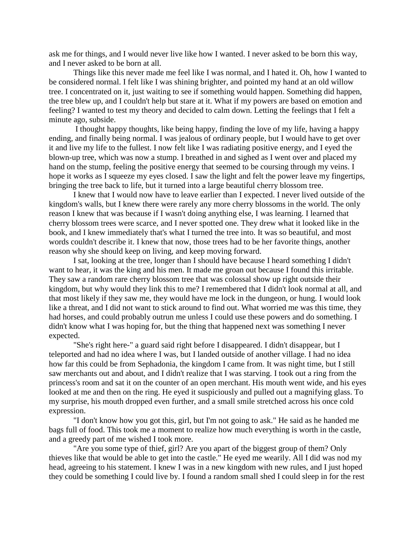ask me for things, and I would never live like how I wanted. I never asked to be born this way, and I never asked to be born at all.

Things like this never made me feel like I was normal, and I hated it. Oh, how I wanted to be considered normal. I felt like I was shining brighter, and pointed my hand at an old willow tree. I concentrated on it, just waiting to see if something would happen. Something did happen, the tree blew up, and I couldn't help but stare at it. What if my powers are based on emotion and feeling? I wanted to test my theory and decided to calm down. Letting the feelings that I felt a minute ago, subside.

I thought happy thoughts, like being happy, finding the love of my life, having a happy ending, and finally being normal. I was jealous of ordinary people, but I would have to get over it and live my life to the fullest. I now felt like I was radiating positive energy, and I eyed the blown-up tree, which was now a stump. I breathed in and sighed as I went over and placed my hand on the stump, feeling the positive energy that seemed to be coursing through my veins. I hope it works as I squeeze my eyes closed. I saw the light and felt the power leave my fingertips, bringing the tree back to life, but it turned into a large beautiful cherry blossom tree.

I knew that I would now have to leave earlier than I expected. I never lived outside of the kingdom's walls, but I knew there were rarely any more cherry blossoms in the world. The only reason I knew that was because if I wasn't doing anything else, I was learning. I learned that cherry blossom trees were scarce, and I never spotted one. They drew what it looked like in the book, and I knew immediately that's what I turned the tree into. It was so beautiful, and most words couldn't describe it. I knew that now, those trees had to be her favorite things, another reason why she should keep on living, and keep moving forward.

I sat, looking at the tree, longer than I should have because I heard something I didn't want to hear, it was the king and his men. It made me groan out because I found this irritable. They saw a random rare cherry blossom tree that was colossal show up right outside their kingdom, but why would they link this to me? I remembered that I didn't look normal at all, and that most likely if they saw me, they would have me lock in the dungeon, or hung. I would look like a threat, and I did not want to stick around to find out. What worried me was this time, they had horses, and could probably outrun me unless I could use these powers and do something. I didn't know what I was hoping for, but the thing that happened next was something I never expected.

"She's right here-" a guard said right before I disappeared. I didn't disappear, but I teleported and had no idea where I was, but I landed outside of another village. I had no idea how far this could be from Sephadonia, the kingdom I came from. It was night time, but I still saw merchants out and about, and I didn't realize that I was starving. I took out a ring from the princess's room and sat it on the counter of an open merchant. His mouth went wide, and his eyes looked at me and then on the ring. He eyed it suspiciously and pulled out a magnifying glass. To my surprise, his mouth dropped even further, and a small smile stretched across his once cold expression.

"I don't know how you got this, girl, but I'm not going to ask." He said as he handed me bags full of food. This took me a moment to realize how much everything is worth in the castle, and a greedy part of me wished I took more.

"Are you some type of thief, girl? Are you apart of the biggest group of them? Only thieves like that would be able to get into the castle." He eyed me wearily. All I did was nod my head, agreeing to his statement. I knew I was in a new kingdom with new rules, and I just hoped they could be something I could live by. I found a random small shed I could sleep in for the rest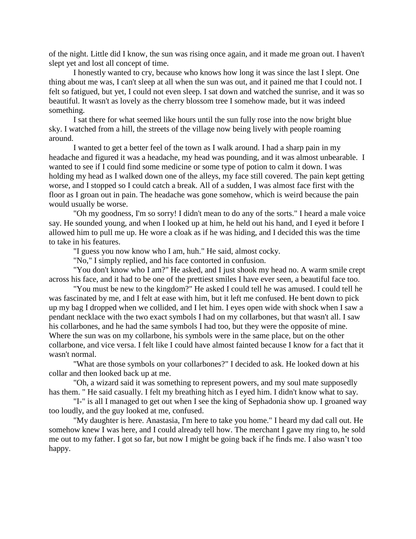of the night. Little did I know, the sun was rising once again, and it made me groan out. I haven't slept yet and lost all concept of time.

I honestly wanted to cry, because who knows how long it was since the last I slept. One thing about me was, I can't sleep at all when the sun was out, and it pained me that I could not. I felt so fatigued, but yet, I could not even sleep. I sat down and watched the sunrise, and it was so beautiful. It wasn't as lovely as the cherry blossom tree I somehow made, but it was indeed something.

I sat there for what seemed like hours until the sun fully rose into the now bright blue sky. I watched from a hill, the streets of the village now being lively with people roaming around.

I wanted to get a better feel of the town as I walk around. I had a sharp pain in my headache and figured it was a headache, my head was pounding, and it was almost unbearable. I wanted to see if I could find some medicine or some type of potion to calm it down. I was holding my head as I walked down one of the alleys, my face still covered. The pain kept getting worse, and I stopped so I could catch a break. All of a sudden, I was almost face first with the floor as I groan out in pain. The headache was gone somehow, which is weird because the pain would usually be worse.

"Oh my goodness, I'm so sorry! I didn't mean to do any of the sorts." I heard a male voice say. He sounded young, and when I looked up at him, he held out his hand, and I eyed it before I allowed him to pull me up. He wore a cloak as if he was hiding, and I decided this was the time to take in his features.

"I guess you now know who I am, huh." He said, almost cocky.

"No," I simply replied, and his face contorted in confusion.

"You don't know who I am?" He asked, and I just shook my head no. A warm smile crept across his face, and it had to be one of the prettiest smiles I have ever seen, a beautiful face too.

"You must be new to the kingdom?" He asked I could tell he was amused. I could tell he was fascinated by me, and I felt at ease with him, but it left me confused. He bent down to pick up my bag I dropped when we collided, and I let him. I eyes open wide with shock when I saw a pendant necklace with the two exact symbols I had on my collarbones, but that wasn't all. I saw his collarbones, and he had the same symbols I had too, but they were the opposite of mine. Where the sun was on my collarbone, his symbols were in the same place, but on the other collarbone, and vice versa. I felt like I could have almost fainted because I know for a fact that it wasn't normal.

"What are those symbols on your collarbones?" I decided to ask. He looked down at his collar and then looked back up at me.

"Oh, a wizard said it was something to represent powers, and my soul mate supposedly has them. " He said casually. I felt my breathing hitch as I eyed him. I didn't know what to say.

"I-" is all I managed to get out when I see the king of Sephadonia show up. I groaned way too loudly, and the guy looked at me, confused.

"My daughter is here. Anastasia, I'm here to take you home." I heard my dad call out. He somehow knew I was here, and I could already tell how. The merchant I gave my ring to, he sold me out to my father. I got so far, but now I might be going back if he finds me. I also wasn't too happy.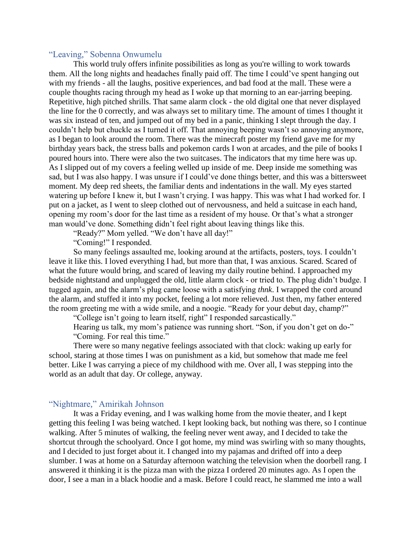# <span id="page-29-0"></span>"Leaving," Sobenna Onwumelu

This world truly offers infinite possibilities as long as you're willing to work towards them. All the long nights and headaches finally paid off. The time I could've spent hanging out with my friends - all the laughs, positive experiences, and bad food at the mall. These were a couple thoughts racing through my head as I woke up that morning to an ear-jarring beeping. Repetitive, high pitched shrills. That same alarm clock - the old digital one that never displayed the line for the 0 correctly, and was always set to military time. The amount of times I thought it was six instead of ten, and jumped out of my bed in a panic, thinking I slept through the day. I couldn't help but chuckle as I turned it off. That annoying beeping wasn't so annoying anymore, as I began to look around the room. There was the minecraft poster my friend gave me for my birthday years back, the stress balls and pokemon cards I won at arcades, and the pile of books I poured hours into. There were also the two suitcases. The indicators that my time here was up. As I slipped out of my covers a feeling welled up inside of me. Deep inside me something was sad, but I was also happy. I was unsure if I could've done things better, and this was a bittersweet moment. My deep red sheets, the familiar dents and indentations in the wall. My eyes started watering up before I knew it, but I wasn't crying. I was happy. This was what I had worked for. I put on a jacket, as I went to sleep clothed out of nervousness, and held a suitcase in each hand, opening my room's door for the last time as a resident of my house. Or that's what a stronger man would've done. Something didn't feel right about leaving things like this.

"Ready?" Mom yelled. "We don't have all day!"

"Coming!" I responded.

So many feelings assaulted me, looking around at the artifacts, posters, toys. I couldn't leave it like this. I loved everything I had, but more than that, I was anxious. Scared. Scared of what the future would bring, and scared of leaving my daily routine behind. I approached my bedside nightstand and unplugged the old, little alarm clock - or tried to. The plug didn't budge. I tugged again, and the alarm's plug came loose with a satisfying *thnk*. I wrapped the cord around the alarm, and stuffed it into my pocket, feeling a lot more relieved. Just then, my father entered the room greeting me with a wide smile, and a noogie. "Ready for your debut day, champ?"

"College isn't going to learn itself, right" I responded sarcastically."

Hearing us talk, my mom's patience was running short. "Son, if you don't get on do-" "Coming. For real this time."

There were so many negative feelings associated with that clock: waking up early for school, staring at those times I was on punishment as a kid, but somehow that made me feel better. Like I was carrying a piece of my childhood with me. Over all, I was stepping into the world as an adult that day. Or college, anyway.

# <span id="page-29-1"></span>"Nightmare," Amirikah Johnson

It was a Friday evening, and I was walking home from the movie theater, and I kept getting this feeling I was being watched. I kept looking back, but nothing was there, so I continue walking. After 5 minutes of walking, the feeling never went away, and I decided to take the shortcut through the schoolyard. Once I got home, my mind was swirling with so many thoughts, and I decided to just forget about it. I changed into my pajamas and drifted off into a deep slumber. I was at home on a Saturday afternoon watching the television when the doorbell rang. I answered it thinking it is the pizza man with the pizza I ordered 20 minutes ago. As I open the door, I see a man in a black hoodie and a mask. Before I could react, he slammed me into a wall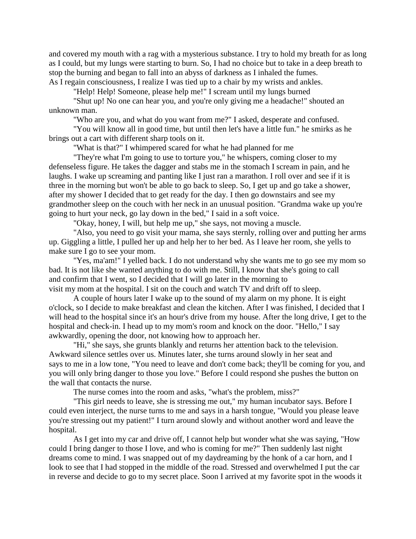and covered my mouth with a rag with a mysterious substance. I try to hold my breath for as long as I could, but my lungs were starting to burn. So, I had no choice but to take in a deep breath to stop the burning and began to fall into an abyss of darkness as I inhaled the fumes. As I regain consciousness, I realize I was tied up to a chair by my wrists and ankles.

"Help! Help! Someone, please help me!" I scream until my lungs burned

"Shut up! No one can hear you, and you're only giving me a headache!" shouted an unknown man.

"Who are you, and what do you want from me?" I asked, desperate and confused.

"You will know all in good time, but until then let's have a little fun." he smirks as he brings out a cart with different sharp tools on it.

"What is that?" I whimpered scared for what he had planned for me

"They're what I'm going to use to torture you," he whispers, coming closer to my defenseless figure. He takes the dagger and stabs me in the stomach I scream in pain, and he laughs. I wake up screaming and panting like I just ran a marathon. I roll over and see if it is three in the morning but won't be able to go back to sleep. So, I get up and go take a shower, after my shower I decided that to get ready for the day. I then go downstairs and see my grandmother sleep on the couch with her neck in an unusual position. "Grandma wake up you're going to hurt your neck, go lay down in the bed," I said in a soft voice.

"Okay, honey, I will, but help me up," she says, not moving a muscle.

"Also, you need to go visit your mama, she says sternly, rolling over and putting her arms up. Giggling a little, I pulled her up and help her to her bed. As I leave her room, she yells to make sure I go to see your mom.

"Yes, ma'am!" I yelled back. I do not understand why she wants me to go see my mom so bad. It is not like she wanted anything to do with me. Still, I know that she's going to call and confirm that I went, so I decided that I will go later in the morning to visit my mom at the hospital. I sit on the couch and watch TV and drift off to sleep.

A couple of hours later I wake up to the sound of my alarm on my phone. It is eight o'clock, so I decide to make breakfast and clean the kitchen. After I was finished, I decided that I will head to the hospital since it's an hour's drive from my house. After the long drive, I get to the hospital and check-in. I head up to my mom's room and knock on the door. "Hello," I say awkwardly, opening the door, not knowing how to approach her.

"Hi," she says, she grunts blankly and returns her attention back to the television. Awkward silence settles over us. Minutes later, she turns around slowly in her seat and says to me in a low tone, "You need to leave and don't come back; they'll be coming for you, and you will only bring danger to those you love." Before I could respond she pushes the button on the wall that contacts the nurse.

The nurse comes into the room and asks, "what's the problem, miss?"

"This girl needs to leave, she is stressing me out," my human incubator says. Before I could even interject, the nurse turns to me and says in a harsh tongue, "Would you please leave you're stressing out my patient!" I turn around slowly and without another word and leave the hospital.

As I get into my car and drive off, I cannot help but wonder what she was saying, "How could I bring danger to those I love, and who is coming for me?" Then suddenly last night dreams come to mind. I was snapped out of my daydreaming by the honk of a car horn, and I look to see that I had stopped in the middle of the road. Stressed and overwhelmed I put the car in reverse and decide to go to my secret place. Soon I arrived at my favorite spot in the woods it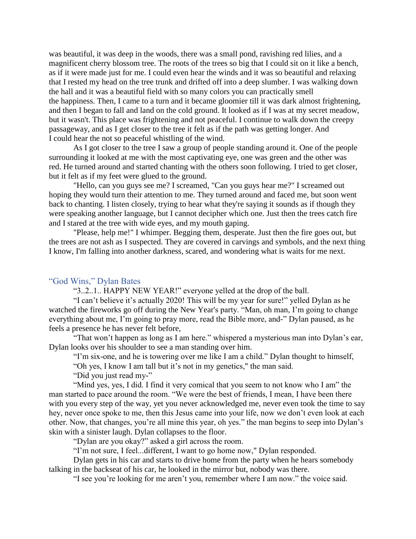was beautiful, it was deep in the woods, there was a small pond, ravishing red lilies, and a magnificent cherry blossom tree. The roots of the trees so big that I could sit on it like a bench, as if it were made just for me. I could even hear the winds and it was so beautiful and relaxing that I rested my head on the tree trunk and drifted off into a deep slumber. I was walking down the hall and it was a beautiful field with so many colors you can practically smell the happiness. Then, I came to a turn and it became gloomier till it was dark almost frightening, and then I began to fall and land on the cold ground. It looked as if I was at my secret meadow, but it wasn't. This place was frightening and not peaceful. I continue to walk down the creepy passageway, and as I get closer to the tree it felt as if the path was getting longer. And I could hear the not so peaceful whistling of the wind.

As I got closer to the tree I saw a group of people standing around it. One of the people surrounding it looked at me with the most captivating eye, one was green and the other was red. He turned around and started chanting with the others soon following. I tried to get closer, but it felt as if my feet were glued to the ground.

"Hello, can you guys see me? I screamed, "Can you guys hear me?" I screamed out hoping they would turn their attention to me. They turned around and faced me, but soon went back to chanting. I listen closely, trying to hear what they're saying it sounds as if though they were speaking another language, but I cannot decipher which one. Just then the trees catch fire and I stared at the tree with wide eyes, and my mouth gaping.

"Please, help me!" I whimper. Begging them, desperate. Just then the fire goes out, but the trees are not ash as I suspected. They are covered in carvings and symbols, and the next thing I know, I'm falling into another darkness, scared, and wondering what is waits for me next.

#### <span id="page-31-0"></span>"God Wins," Dylan Bates

"3..2..1.. HAPPY NEW YEAR!" everyone yelled at the drop of the ball.

"I can't believe it's actually 2020! This will be my year for sure!" yelled Dylan as he watched the fireworks go off during the New Year's party. "Man, oh man, I'm going to change everything about me, I'm going to pray more, read the Bible more, and-" Dylan paused, as he feels a presence he has never felt before,

"That won't happen as long as I am here." whispered a mysterious man into Dylan's ear, Dylan looks over his shoulder to see a man standing over him.

"I'm six-one, and he is towering over me like I am a child." Dylan thought to himself,

"Oh yes, I know I am tall but it's not in my genetics," the man said.

"Did you just read my-"

"Mind yes, yes, I did. I find it very comical that you seem to not know who I am" the man started to pace around the room. "We were the best of friends, I mean, I have been there with you every step of the way, yet you never acknowledged me, never even took the time to say hey, never once spoke to me, then this Jesus came into your life, now we don't even look at each other. Now, that changes, you're all mine this year, oh yes." the man begins to seep into Dylan's skin with a sinister laugh. Dylan collapses to the floor.

"Dylan are you okay?" asked a girl across the room.

"I'm not sure, I feel...different, I want to go home now," Dylan responded.

Dylan gets in his car and starts to drive home from the party when he hears somebody talking in the backseat of his car, he looked in the mirror but, nobody was there.

"I see you're looking for me aren't you, remember where I am now." the voice said.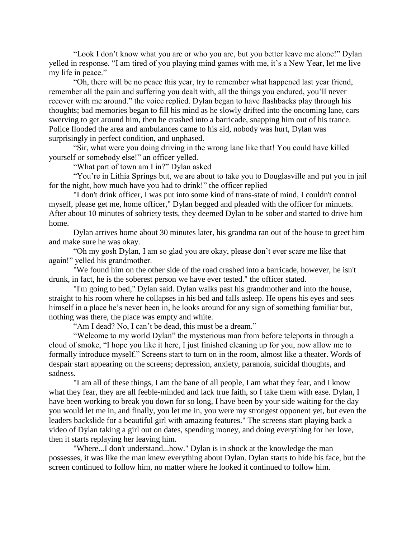"Look I don't know what you are or who you are, but you better leave me alone!" Dylan yelled in response. "I am tired of you playing mind games with me, it's a New Year, let me live my life in peace."

"Oh, there will be no peace this year, try to remember what happened last year friend, remember all the pain and suffering you dealt with, all the things you endured, you'll never recover with me around." the voice replied. Dylan began to have flashbacks play through his thoughts; bad memories began to fill his mind as he slowly drifted into the oncoming lane, cars swerving to get around him, then he crashed into a barricade, snapping him out of his trance. Police flooded the area and ambulances came to his aid, nobody was hurt, Dylan was surprisingly in perfect condition, and unphased.

"Sir, what were you doing driving in the wrong lane like that! You could have killed yourself or somebody else!" an officer yelled.

"What part of town am I in?" Dylan asked

"You're in Lithia Springs but, we are about to take you to Douglasville and put you in jail for the night, how much have you had to drink!" the officer replied

"I don't drink officer, I was put into some kind of trans-state of mind, I couldn't control myself, please get me, home officer," Dylan begged and pleaded with the officer for minuets. After about 10 minutes of sobriety tests, they deemed Dylan to be sober and started to drive him home.

Dylan arrives home about 30 minutes later, his grandma ran out of the house to greet him and make sure he was okay.

"Oh my gosh Dylan, I am so glad you are okay, please don't ever scare me like that again!" yelled his grandmother.

"We found him on the other side of the road crashed into a barricade, however, he isn't drunk, in fact, he is the soberest person we have ever tested." the officer stated.

"I'm going to bed," Dylan said. Dylan walks past his grandmother and into the house, straight to his room where he collapses in his bed and falls asleep. He opens his eyes and sees himself in a place he's never been in, he looks around for any sign of something familiar but, nothing was there, the place was empty and white.

"Am I dead? No, I can't be dead, this must be a dream."

"Welcome to my world Dylan" the mysterious man from before teleports in through a cloud of smoke, "I hope you like it here, I just finished cleaning up for you, now allow me to formally introduce myself." Screens start to turn on in the room, almost like a theater. Words of despair start appearing on the screens; depression, anxiety, paranoia, suicidal thoughts, and sadness.

"I am all of these things, I am the bane of all people, I am what they fear, and I know what they fear, they are all feeble-minded and lack true faith, so I take them with ease. Dylan, I have been working to break you down for so long, I have been by your side waiting for the day you would let me in, and finally, you let me in, you were my strongest opponent yet, but even the leaders backslide for a beautiful girl with amazing features." The screens start playing back a video of Dylan taking a girl out on dates, spending money, and doing everything for her love, then it starts replaying her leaving him.

"Where...I don't understand...how." Dylan is in shock at the knowledge the man possesses, it was like the man knew everything about Dylan. Dylan starts to hide his face, but the screen continued to follow him, no matter where he looked it continued to follow him.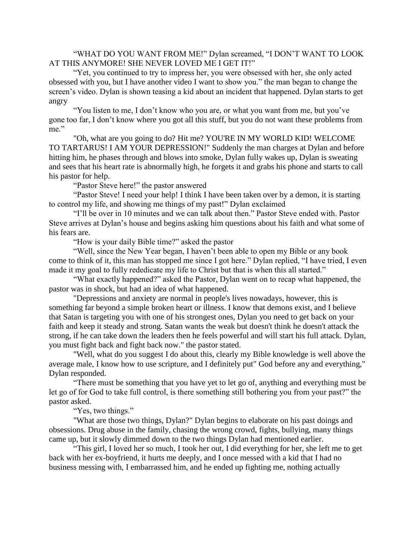"WHAT DO YOU WANT FROM ME!" Dylan screamed, "I DON'T WANT TO LOOK AT THIS ANYMORE! SHE NEVER LOVED ME I GET IT!"

"Yet, you continued to try to impress her, you were obsessed with her, she only acted obsessed with you, but I have another video I want to show you." the man began to change the screen's video. Dylan is shown teasing a kid about an incident that happened. Dylan starts to get angry

"You listen to me, I don't know who you are, or what you want from me, but you've gone too far, I don't know where you got all this stuff, but you do not want these problems from me."

"Oh, what are you going to do? Hit me? YOU'RE IN MY WORLD KID! WELCOME TO TARTARUS! I AM YOUR DEPRESSION!" Suddenly the man charges at Dylan and before hitting him, he phases through and blows into smoke, Dylan fully wakes up, Dylan is sweating and sees that his heart rate is abnormally high, he forgets it and grabs his phone and starts to call his pastor for help.

"Pastor Steve here!" the pastor answered

"Pastor Steve! I need your help! I think I have been taken over by a demon, it is starting to control my life, and showing me things of my past!" Dylan exclaimed

"I'll be over in 10 minutes and we can talk about then." Pastor Steve ended with. Pastor Steve arrives at Dylan's house and begins asking him questions about his faith and what some of his fears are.

"How is your daily Bible time?" asked the pastor

"Well, since the New Year began, I haven't been able to open my Bible or any book come to think of it, this man has stopped me since I got here." Dylan replied, "I have tried, I even made it my goal to fully rededicate my life to Christ but that is when this all started."

"What exactly happened?" asked the Pastor, Dylan went on to recap what happened, the pastor was in shock, but had an idea of what happened.

"Depressions and anxiety are normal in people's lives nowadays, however, this is something far beyond a simple broken heart or illness. I know that demons exist, and I believe that Satan is targeting you with one of his strongest ones, Dylan you need to get back on your faith and keep it steady and strong. Satan wants the weak but doesn't think he doesn't attack the strong, if he can take down the leaders then he feels powerful and will start his full attack. Dylan, you must fight back and fight back now." the pastor stated.

"Well, what do you suggest I do about this, clearly my Bible knowledge is well above the average male, I know how to use scripture, and I definitely put" God before any and everything," Dylan responded.

"There must be something that you have yet to let go of, anything and everything must be let go of for God to take full control, is there something still bothering you from your past?" the pastor asked.

"Yes, two things."

"What are those two things, Dylan?" Dylan begins to elaborate on his past doings and obsessions. Drug abuse in the family, chasing the wrong crowd, fights, bullying, many things came up, but it slowly dimmed down to the two things Dylan had mentioned earlier.

"This girl, I loved her so much, I took her out, I did everything for her, she left me to get back with her ex-boyfriend, it hurts me deeply, and I once messed with a kid that I had no business messing with, I embarrassed him, and he ended up fighting me, nothing actually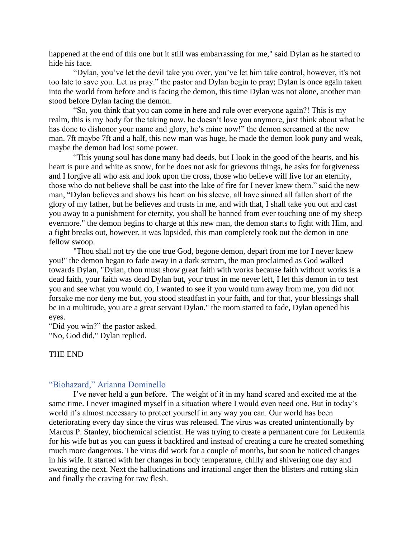happened at the end of this one but it still was embarrassing for me," said Dylan as he started to hide his face.

"Dylan, you've let the devil take you over, you've let him take control, however, it's not too late to save you. Let us pray." the pastor and Dylan begin to pray; Dylan is once again taken into the world from before and is facing the demon, this time Dylan was not alone, another man stood before Dylan facing the demon.

"So, you think that you can come in here and rule over everyone again?! This is my realm, this is my body for the taking now, he doesn't love you anymore, just think about what he has done to dishonor your name and glory, he's mine now!" the demon screamed at the new man. 7ft maybe 7ft and a half, this new man was huge, he made the demon look puny and weak, maybe the demon had lost some power.

"This young soul has done many bad deeds, but I look in the good of the hearts, and his heart is pure and white as snow, for he does not ask for grievous things, he asks for forgiveness and I forgive all who ask and look upon the cross, those who believe will live for an eternity, those who do not believe shall be cast into the lake of fire for I never knew them." said the new man, "Dylan believes and shows his heart on his sleeve, all have sinned all fallen short of the glory of my father, but he believes and trusts in me, and with that, I shall take you out and cast you away to a punishment for eternity, you shall be banned from ever touching one of my sheep evermore." the demon begins to charge at this new man, the demon starts to fight with Him, and a fight breaks out, however, it was lopsided, this man completely took out the demon in one fellow swoop.

"Thou shall not try the one true God, begone demon, depart from me for I never knew you!" the demon began to fade away in a dark scream, the man proclaimed as God walked towards Dylan, "Dylan, thou must show great faith with works because faith without works is a dead faith, your faith was dead Dylan but, your trust in me never left, I let this demon in to test you and see what you would do, I wanted to see if you would turn away from me, you did not forsake me nor deny me but, you stood steadfast in your faith, and for that, your blessings shall be in a multitude, you are a great servant Dylan." the room started to fade, Dylan opened his eyes.

"Did you win?" the pastor asked.

"No, God did," Dylan replied.

## THE END

## <span id="page-34-0"></span>"Biohazard," Arianna Dominello

I've never held a gun before. The weight of it in my hand scared and excited me at the same time. I never imagined myself in a situation where I would even need one. But in today's world it's almost necessary to protect yourself in any way you can. Our world has been deteriorating every day since the virus was released. The virus was created unintentionally by Marcus P. Stanley, biochemical scientist. He was trying to create a permanent cure for Leukemia for his wife but as you can guess it backfired and instead of creating a cure he created something much more dangerous. The virus did work for a couple of months, but soon he noticed changes in his wife. It started with her changes in body temperature, chilly and shivering one day and sweating the next. Next the hallucinations and irrational anger then the blisters and rotting skin and finally the craving for raw flesh.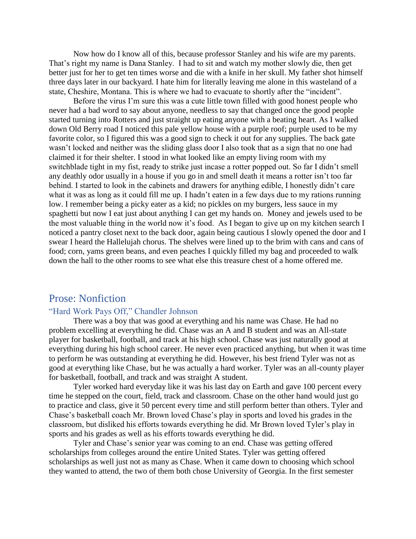Now how do I know all of this, because professor Stanley and his wife are my parents. That's right my name is Dana Stanley. I had to sit and watch my mother slowly die, then get better just for her to get ten times worse and die with a knife in her skull. My father shot himself three days later in our backyard. I hate him for literally leaving me alone in this wasteland of a state, Cheshire, Montana. This is where we had to evacuate to shortly after the "incident".

Before the virus I'm sure this was a cute little town filled with good honest people who never had a bad word to say about anyone, needless to say that changed once the good people started turning into Rotters and just straight up eating anyone with a beating heart. As I walked down Old Berry road I noticed this pale yellow house with a purple roof; purple used to be my favorite color, so I figured this was a good sign to check it out for any supplies. The back gate wasn't locked and neither was the sliding glass door I also took that as a sign that no one had claimed it for their shelter. I stood in what looked like an empty living room with my switchblade tight in my fist, ready to strike just incase a rotter popped out. So far I didn't smell any deathly odor usually in a house if you go in and smell death it means a rotter isn't too far behind. I started to look in the cabinets and drawers for anything edible, I honestly didn't care what it was as long as it could fill me up. I hadn't eaten in a few days due to my rations running low. I remember being a picky eater as a kid; no pickles on my burgers, less sauce in my spaghetti but now I eat just about anything I can get my hands on. Money and jewels used to be the most valuable thing in the world now it's food. As I began to give up on my kitchen search I noticed a pantry closet next to the back door, again being cautious I slowly opened the door and I swear I heard the Hallelujah chorus. The shelves were lined up to the brim with cans and cans of food; corn, yams green beans, and even peaches I quickly filled my bag and proceeded to walk down the hall to the other rooms to see what else this treasure chest of a home offered me.

# <span id="page-35-0"></span>Prose: Nonfiction

# <span id="page-35-1"></span>"Hard Work Pays Off," Chandler Johnson

There was a boy that was good at everything and his name was Chase. He had no problem excelling at everything he did. Chase was an A and B student and was an All-state player for basketball, football, and track at his high school. Chase was just naturally good at everything during his high school career. He never even practiced anything, but when it was time to perform he was outstanding at everything he did. However, his best friend Tyler was not as good at everything like Chase, but he was actually a hard worker. Tyler was an all-county player for basketball, football, and track and was straight A student.

Tyler worked hard everyday like it was his last day on Earth and gave 100 percent every time he stepped on the court, field, track and classroom. Chase on the other hand would just go to practice and class, give it 50 percent every time and still perform better than others. Tyler and Chase's basketball coach Mr. Brown loved Chase's play in sports and loved his grades in the classroom, but disliked his efforts towards everything he did. Mr Brown loved Tyler's play in sports and his grades as well as his efforts towards everything he did.

Tyler and Chase's senior year was coming to an end. Chase was getting offered scholarships from colleges around the entire United States. Tyler was getting offered scholarships as well just not as many as Chase. When it came down to choosing which school they wanted to attend, the two of them both chose University of Georgia. In the first semester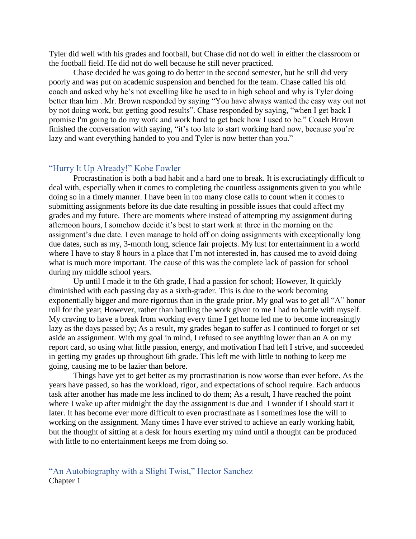Tyler did well with his grades and football, but Chase did not do well in either the classroom or the football field. He did not do well because he still never practiced.

Chase decided he was going to do better in the second semester, but he still did very poorly and was put on academic suspension and benched for the team. Chase called his old coach and asked why he's not excelling like he used to in high school and why is Tyler doing better than him . Mr. Brown responded by saying "You have always wanted the easy way out not by not doing work, but getting good results". Chase responded by saying, "when I get back I promise I'm going to do my work and work hard to get back how I used to be." Coach Brown finished the conversation with saying, "it's too late to start working hard now, because you're lazy and want everything handed to you and Tyler is now better than you."

## <span id="page-36-0"></span>"Hurry It Up Already!" Kobe Fowler

Procrastination is both a bad habit and a hard one to break. It is excruciatingly difficult to deal with, especially when it comes to completing the countless assignments given to you while doing so in a timely manner. I have been in too many close calls to count when it comes to submitting assignments before its due date resulting in possible issues that could affect my grades and my future. There are moments where instead of attempting my assignment during afternoon hours, I somehow decide it's best to start work at three in the morning on the assignment's due date. I even manage to hold off on doing assignments with exceptionally long due dates, such as my, 3-month long, science fair projects. My lust for entertainment in a world where I have to stay 8 hours in a place that I'm not interested in, has caused me to avoid doing what is much more important. The cause of this was the complete lack of passion for school during my middle school years.

Up until I made it to the 6th grade, I had a passion for school; However, It quickly diminished with each passing day as a sixth-grader. This is due to the work becoming exponentially bigger and more rigorous than in the grade prior. My goal was to get all "A" honor roll for the year; However, rather than battling the work given to me I had to battle with myself. My craving to have a break from working every time I get home led me to become increasingly lazy as the days passed by; As a result, my grades began to suffer as I continued to forget or set aside an assignment. With my goal in mind, I refused to see anything lower than an A on my report card, so using what little passion, energy, and motivation I had left I strive, and succeeded in getting my grades up throughout 6th grade. This left me with little to nothing to keep me going, causing me to be lazier than before.

Things have yet to get better as my procrastination is now worse than ever before. As the years have passed, so has the workload, rigor, and expectations of school require. Each arduous task after another has made me less inclined to do them; As a result, I have reached the point where I wake up after midnight the day the assignment is due and I wonder if I should start it later. It has become ever more difficult to even procrastinate as I sometimes lose the will to working on the assignment. Many times I have ever strived to achieve an early working habit, but the thought of sitting at a desk for hours exerting my mind until a thought can be produced with little to no entertainment keeps me from doing so.

# <span id="page-36-1"></span>"An Autobiography with a Slight Twist," Hector Sanchez Chapter 1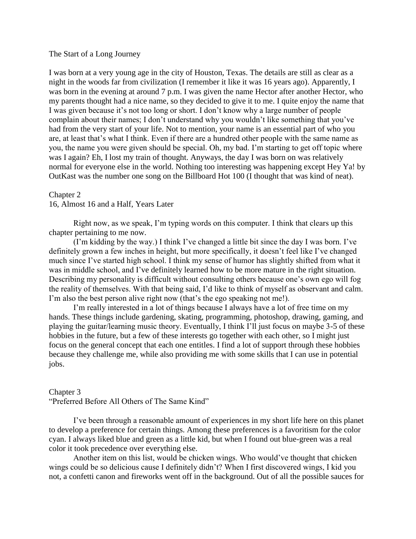#### The Start of a Long Journey

I was born at a very young age in the city of Houston, Texas. The details are still as clear as a night in the woods far from civilization (I remember it like it was 16 years ago). Apparently, I was born in the evening at around 7 p.m. I was given the name Hector after another Hector, who my parents thought had a nice name, so they decided to give it to me. I quite enjoy the name that I was given because it's not too long or short. I don't know why a large number of people complain about their names; I don't understand why you wouldn't like something that you've had from the very start of your life. Not to mention, your name is an essential part of who you are, at least that's what I think. Even if there are a hundred other people with the same name as you, the name you were given should be special. Oh, my bad. I'm starting to get off topic where was I again? Eh, I lost my train of thought. Anyways, the day I was born on was relatively normal for everyone else in the world. Nothing too interesting was happening except Hey Ya! by OutKast was the number one song on the Billboard Hot 100 (I thought that was kind of neat).

#### Chapter 2

16, Almost 16 and a Half, Years Later

Right now, as we speak, I'm typing words on this computer. I think that clears up this chapter pertaining to me now.

(I'm kidding by the way.) I think I've changed a little bit since the day I was born. I've definitely grown a few inches in height, but more specifically, it doesn't feel like I've changed much since I've started high school. I think my sense of humor has slightly shifted from what it was in middle school, and I've definitely learned how to be more mature in the right situation. Describing my personality is difficult without consulting others because one's own ego will fog the reality of themselves. With that being said, I'd like to think of myself as observant and calm. I'm also the best person alive right now (that's the ego speaking not me!).

I'm really interested in a lot of things because I always have a lot of free time on my hands. These things include gardening, skating, programming, photoshop, drawing, gaming, and playing the guitar/learning music theory. Eventually, I think I'll just focus on maybe 3-5 of these hobbies in the future, but a few of these interests go together with each other, so I might just focus on the general concept that each one entitles. I find a lot of support through these hobbies because they challenge me, while also providing me with some skills that I can use in potential jobs.

#### Chapter 3

"Preferred Before All Others of The Same Kind"

I've been through a reasonable amount of experiences in my short life here on this planet to develop a preference for certain things. Among these preferences is a favoritism for the color cyan. I always liked blue and green as a little kid, but when I found out blue-green was a real color it took precedence over everything else.

Another item on this list, would be chicken wings. Who would've thought that chicken wings could be so delicious cause I definitely didn't? When I first discovered wings, I kid you not, a confetti canon and fireworks went off in the background. Out of all the possible sauces for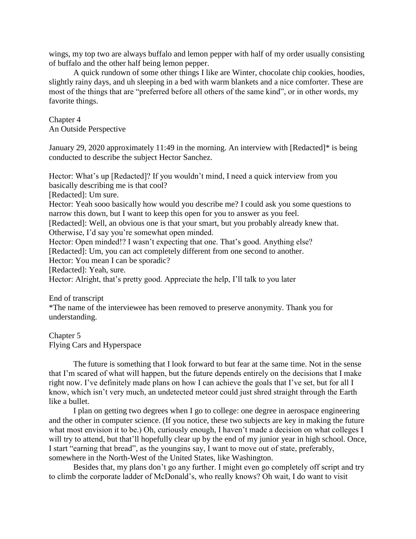wings, my top two are always buffalo and lemon pepper with half of my order usually consisting of buffalo and the other half being lemon pepper.

A quick rundown of some other things I like are Winter, chocolate chip cookies, hoodies, slightly rainy days, and uh sleeping in a bed with warm blankets and a nice comforter. These are most of the things that are "preferred before all others of the same kind", or in other words, my favorite things.

Chapter 4 An Outside Perspective

January 29, 2020 approximately 11:49 in the morning. An interview with [Redacted]\* is being conducted to describe the subject Hector Sanchez.

Hector: What's up [Redacted]? If you wouldn't mind, I need a quick interview from you basically describing me is that cool?

[Redacted]: Um sure.

Hector: Yeah sooo basically how would you describe me? I could ask you some questions to narrow this down, but I want to keep this open for you to answer as you feel.

[Redacted]: Well, an obvious one is that your smart, but you probably already knew that. Otherwise, I'd say you're somewhat open minded.

Hector: Open minded!? I wasn't expecting that one. That's good. Anything else?

[Redacted]: Um, you can act completely different from one second to another.

Hector: You mean I can be sporadic?

[Redacted]: Yeah, sure.

Hector: Alright, that's pretty good. Appreciate the help, I'll talk to you later

End of transcript

\*The name of the interviewee has been removed to preserve anonymity. Thank you for understanding.

Chapter 5 Flying Cars and Hyperspace

The future is something that I look forward to but fear at the same time. Not in the sense that I'm scared of what will happen, but the future depends entirely on the decisions that I make right now. I've definitely made plans on how I can achieve the goals that I've set, but for all I know, which isn't very much, an undetected meteor could just shred straight through the Earth like a bullet.

I plan on getting two degrees when I go to college: one degree in aerospace engineering and the other in computer science. (If you notice, these two subjects are key in making the future what most envision it to be.) Oh, curiously enough, I haven't made a decision on what colleges I will try to attend, but that'll hopefully clear up by the end of my junior year in high school. Once, I start "earning that bread", as the youngins say, I want to move out of state, preferably, somewhere in the North-West of the United States, like Washington.

Besides that, my plans don't go any further. I might even go completely off script and try to climb the corporate ladder of McDonald's, who really knows? Oh wait, I do want to visit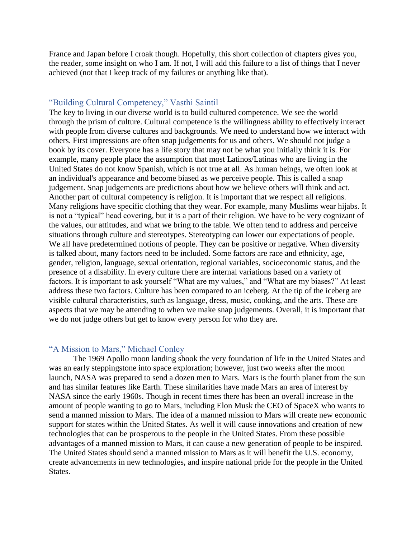France and Japan before I croak though. Hopefully, this short collection of chapters gives you, the reader, some insight on who I am. If not, I will add this failure to a list of things that I never achieved (not that I keep track of my failures or anything like that).

# <span id="page-39-0"></span>"Building Cultural Competency," Vasthi Saintil

The key to living in our diverse world is to build cultured competence. We see the world through the prism of culture. Cultural competence is the willingness ability to effectively interact with people from diverse cultures and backgrounds. We need to understand how we interact with others. First impressions are often snap judgements for us and others. We should not judge a book by its cover. Everyone has a life story that may not be what you initially think it is. For example, many people place the assumption that most Latinos/Latinas who are living in the United States do not know Spanish, which is not true at all. As human beings, we often look at an individual's appearance and become biased as we perceive people. This is called a snap judgement. Snap judgements are predictions about how we believe others will think and act. Another part of cultural competency is religion. It is important that we respect all religions. Many religions have specific clothing that they wear. For example, many Muslims wear hijabs. It is not a "typical" head covering, but it is a part of their religion. We have to be very cognizant of the values, our attitudes, and what we bring to the table. We often tend to address and perceive situations through culture and stereotypes. Stereotyping can lower our expectations of people. We all have predetermined notions of people. They can be positive or negative. When diversity is talked about, many factors need to be included. Some factors are race and ethnicity, age, gender, religion, language, sexual orientation, regional variables, socioeconomic status, and the presence of a disability. In every culture there are internal variations based on a variety of factors. It is important to ask yourself "What are my values," and "What are my biases?" At least address these two factors. Culture has been compared to an iceberg. At the tip of the iceberg are visible cultural characteristics, such as language, dress, music, cooking, and the arts. These are aspects that we may be attending to when we make snap judgements. Overall, it is important that we do not judge others but get to know every person for who they are.

# <span id="page-39-1"></span>"A Mission to Mars," Michael Conley

The 1969 Apollo moon landing shook the very foundation of life in the United States and was an early steppingstone into space exploration; however, just two weeks after the moon launch, NASA was prepared to send a dozen men to Mars. Mars is the fourth planet from the sun and has similar features like Earth. These similarities have made Mars an area of interest by NASA since the early 1960s. Though in recent times there has been an overall increase in the amount of people wanting to go to Mars, including Elon Musk the CEO of SpaceX who wants to send a manned mission to Mars. The idea of a manned mission to Mars will create new economic support for states within the United States. As well it will cause innovations and creation of new technologies that can be prosperous to the people in the United States. From these possible advantages of a manned mission to Mars, it can cause a new generation of people to be inspired. The United States should send a manned mission to Mars as it will benefit the U.S. economy, create advancements in new technologies, and inspire national pride for the people in the United States.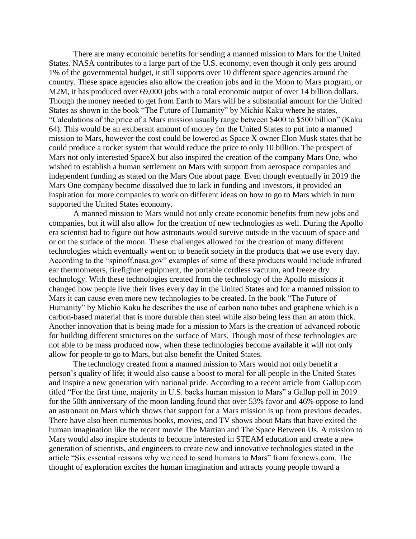There are many economic benefits for sending a manned mission to Mars for the United States. NASA contributes to a large part of the U.S. economy, even though it only gets around 1% of the governmental budget, it still supports over 10 different space agencies around the country. These space agencies also allow the creation jobs and in the Moon to Mars program, or M2M, it has produced over 69,000 jobs with a total economic output of over 14 billion dollars. Though the money needed to get from Earth to Mars will be a substantial amount for the United States as shown in the book "The Future of Humanity" by Michio Kaku where he states, "Calculations of the price of a Mars mission usually range between \$400 to \$500 billion" (Kaku 64). This would be an exuberant amount of money for the United States to put into a manned mission to Mars, however the cost could be lowered as Space X owner Elon Musk states that he could produce a rocket system that would reduce the price to only 10 billion. The prospect of Mars not only interested SpaceX but also inspired the creation of the company Mars One, who wished to establish a human settlement on Mars with support from aerospace companies and independent funding as stated on the Mars One about page. Even though eventually in 2019 the Mars One company become dissolved due to lack in funding and investors, it provided an inspiration for more companies to work on different ideas on how to go to Mars which in turn supported the United States economy.

A manned mission to Mars would not only create economic benefits from new jobs and companies, but it will also allow for the creation of new technologies as well. During the Apollo era scientist had to figure out how astronauts would survive outside in the vacuum of space and or on the surface of the moon. These challenges allowed for the creation of many different technologies which eventually went on to benefit society in the products that we use every day. According to the "spinoff.nasa.gov" examples of some of these products would include infrared ear thermometers, firefighter equipment, the portable cordless vacuum, and freeze dry technology. With these technologies created from the technology of the Apollo missions it changed how people live their lives every day in the United States and for a manned mission to Mars it can cause even more new technologies to be created. In the book "The Future of Humanity" by Michio Kaku he describes the use of carbon nano tubes and graphene which is a carbon-based material that is more durable than steel while also being less than an atom thick. Another innovation that is being made for a mission to Mars is the creation of advanced robotic for building different structures on the surface of Mars. Though most of these technologies are not able to be mass produced now, when these technologies become available it will not only allow for people to go to Mars, but also benefit the United States.

The technology created from a manned mission to Mars would not only benefit a person's quality of life; it would also cause a boost to moral for all people in the United States and inspire a new generation with national pride. According to a recent article from Gallup.com titled "For the first time, majority in U.S. backs human mission to Mars" a Gallup poll in 2019 for the 50th anniversary of the moon landing found that over 53% favor and 46% oppose to land an astronaut on Mars which shows that support for a Mars mission is up from previous decades. There have also been numerous books, movies, and TV shows about Mars that have exited the human imagination like the recent movie The Martian and The Space Between Us. A mission to Mars would also inspire students to become interested in STEAM education and create a new generation of scientists, and engineers to create new and innovative technologies stated in the article "Six essential reasons why we need to send humans to Mars" from foxnews.com. The thought of exploration excites the human imagination and attracts young people toward a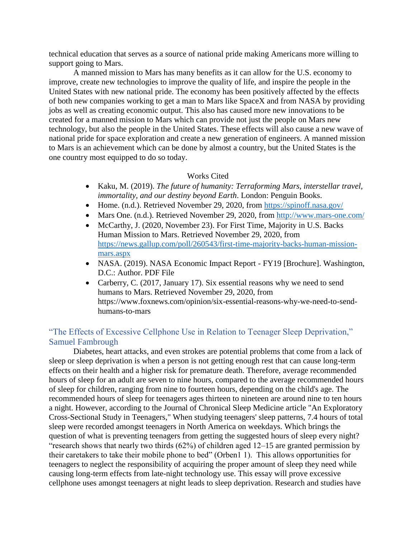technical education that serves as a source of national pride making Americans more willing to support going to Mars.

A manned mission to Mars has many benefits as it can allow for the U.S. economy to improve, create new technologies to improve the quality of life, and inspire the people in the United States with new national pride. The economy has been positively affected by the effects of both new companies working to get a man to Mars like SpaceX and from NASA by providing jobs as well as creating economic output. This also has caused more new innovations to be created for a manned mission to Mars which can provide not just the people on Mars new technology, but also the people in the United States. These effects will also cause a new wave of national pride for space exploration and create a new generation of engineers. A manned mission to Mars is an achievement which can be done by almost a country, but the United States is the one country most equipped to do so today.

# Works Cited

- Kaku, M. (2019). *The future of humanity: Terraforming Mars, interstellar travel, immortality, and our destiny beyond Earth*. London: Penguin Books.
- Home. (n.d.). Retrieved November 29, 2020, from<https://spinoff.nasa.gov/>
- Mars One. (n.d.). Retrieved November 29, 2020, from<http://www.mars-one.com/>
- McCarthy, J. (2020, November 23). For First Time, Majority in U.S. Backs Human Mission to Mars. Retrieved November 29, 2020, from [https://news.gallup.com/poll/260543/first-time-majority-backs-human-mission](https://news.gallup.com/poll/260543/first-time-majority-backs-human-mission-mars.aspx)[mars.aspx](https://news.gallup.com/poll/260543/first-time-majority-backs-human-mission-mars.aspx)
- NASA. (2019). NASA Economic Impact Report FY19 [Brochure]. Washington, D.C.: Author. PDF File
- Carberry, C. (2017, January 17). Six essential reasons why we need to send humans to Mars. Retrieved November 29, 2020, from https://www.foxnews.com/opinion/six-essential-reasons-why-we-need-to-sendhumans-to-mars

# <span id="page-41-0"></span>"The Effects of Excessive Cellphone Use in Relation to Teenager Sleep Deprivation," Samuel Fambrough

Diabetes, heart attacks, and even strokes are potential problems that come from a lack of sleep or sleep deprivation is when a person is not getting enough rest that can cause long-term effects on their health and a higher risk for premature death. Therefore, average recommended hours of sleep for an adult are seven to nine hours, compared to the average recommended hours of sleep for children, ranging from nine to fourteen hours, depending on the child's age. The recommended hours of sleep for teenagers ages thirteen to nineteen are around nine to ten hours a night. However, according to the Journal of Chronical Sleep Medicine article "An Exploratory Cross-Sectional Study in Teenagers," When studying teenagers' sleep patterns, 7.4 hours of total sleep were recorded amongst teenagers in North America on weekdays. Which brings the question of what is preventing teenagers from getting the suggested hours of sleep every night? "research shows that nearly two thirds  $(62%)$  of children aged  $12-15$  are granted permission by their caretakers to take their mobile phone to bed" (Orben1 1). This allows opportunities for teenagers to neglect the responsibility of acquiring the proper amount of sleep they need while causing long-term effects from late-night technology use. This essay will prove excessive cellphone uses amongst teenagers at night leads to sleep deprivation. Research and studies have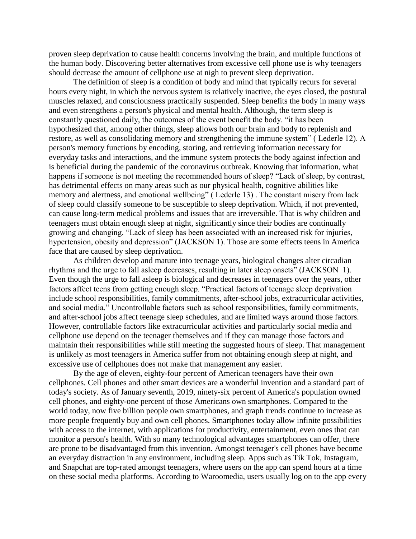proven sleep deprivation to cause health concerns involving the brain, and multiple functions of the human body. Discovering better alternatives from excessive cell phone use is why teenagers should decrease the amount of cellphone use at nigh to prevent sleep deprivation.

The definition of sleep is a condition of body and mind that typically recurs for several hours every night, in which the nervous system is relatively inactive, the eyes closed, the postural muscles relaxed, and consciousness practically suspended. Sleep benefits the body in many ways and even strengthens a person's physical and mental health. Although, the term sleep is constantly questioned daily, the outcomes of the event benefit the body. "it has been hypothesized that, among other things, sleep allows both our brain and body to replenish and restore, as well as consolidating memory and strengthening the immune system" ( Lederle 12). A person's memory functions by encoding, storing, and retrieving information necessary for everyday tasks and interactions, and the immune system protects the body against infection and is beneficial during the pandemic of the coronavirus outbreak. Knowing that information, what happens if someone is not meeting the recommended hours of sleep? "Lack of sleep, by contrast, has detrimental effects on many areas such as our physical health, cognitive abilities like memory and alertness, and emotional wellbeing" ( Lederle 13) . The constant misery from lack of sleep could classify someone to be susceptible to sleep deprivation. Which, if not prevented, can cause long-term medical problems and issues that are irreversible. That is why children and teenagers must obtain enough sleep at night, significantly since their bodies are continually growing and changing. "Lack of sleep has been associated with an increased risk for injuries, hypertension, obesity and depression" (JACKSON 1). Those are some effects teens in America face that are caused by sleep deprivation.

As children develop and mature into teenage years, biological changes alter circadian rhythms and the urge to fall asleep decreases, resulting in later sleep onsets" (JACKSON 1). Even though the urge to fall asleep is biological and decreases in teenagers over the years, other factors affect teens from getting enough sleep. "Practical factors of teenage sleep deprivation include school responsibilities, family commitments, after-school jobs, extracurricular activities, and social media." Uncontrollable factors such as school responsibilities, family commitments, and after-school jobs affect teenage sleep schedules, and are limited ways around those factors. However, controllable factors like extracurricular activities and particularly social media and cellphone use depend on the teenager themselves and if they can manage those factors and maintain their responsibilities while still meeting the suggested hours of sleep. That management is unlikely as most teenagers in America suffer from not obtaining enough sleep at night, and excessive use of cellphones does not make that management any easier.

By the age of eleven, eighty-four percent of American teenagers have their own cellphones. Cell phones and other smart devices are a wonderful invention and a standard part of today's society. As of January seventh, 2019, ninety-six percent of America's population owned cell phones, and eighty-one percent of those Americans own smartphones. Compared to the world today, now five billion people own smartphones, and graph trends continue to increase as more people frequently buy and own cell phones. Smartphones today allow infinite possibilities with access to the internet, with applications for productivity, entertainment, even ones that can monitor a person's health. With so many technological advantages smartphones can offer, there are prone to be disadvantaged from this invention. Amongst teenager's cell phones have become an everyday distraction in any environment, including sleep. Apps such as Tik Tok, Instagram, and Snapchat are top-rated amongst teenagers, where users on the app can spend hours at a time on these social media platforms. According to Waroomedia, users usually log on to the app every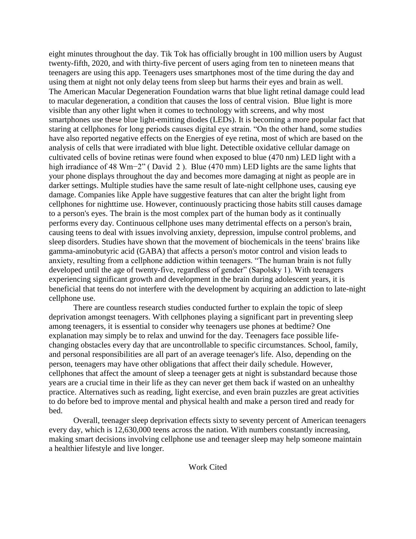eight minutes throughout the day. Tik Tok has officially brought in 100 million users by August twenty-fifth, 2020, and with thirty-five percent of users aging from ten to nineteen means that teenagers are using this app. Teenagers uses smartphones most of the time during the day and using them at night not only delay teens from sleep but harms their eyes and brain as well. The American Macular Degeneration Foundation warns that blue light retinal damage could lead to macular degeneration, a condition that causes the loss of central vision. Blue light is more visible than any other light when it comes to technology with screens, and why most smartphones use these blue light-emitting diodes (LEDs). It is becoming a more popular fact that staring at cellphones for long periods causes digital eye strain. "On the other hand, some studies have also reported negative effects on the Energies of eye retina, most of which are based on the analysis of cells that were irradiated with blue light. Detectible oxidative cellular damage on cultivated cells of bovine retinas were found when exposed to blue (470 nm) LED light with a high irradiance of 48 Wm−2" ( David 2 ). Blue (470 mm) LED lights are the same lights that your phone displays throughout the day and becomes more damaging at night as people are in darker settings. Multiple studies have the same result of late-night cellphone uses, causing eye damage. Companies like Apple have suggestive features that can alter the bright light from cellphones for nighttime use. However, continuously practicing those habits still causes damage to a person's eyes. The brain is the most complex part of the human body as it continually performs every day. Continuous cellphone uses many detrimental effects on a person's brain, causing teens to deal with issues involving anxiety, depression, impulse control problems, and sleep disorders. Studies have shown that the movement of biochemicals in the teens' brains like gamma-aminobutyric acid (GABA) that affects a person's motor control and vision leads to anxiety, resulting from a cellphone addiction within teenagers. "The human brain is not fully developed until the age of twenty-five, regardless of gender" (Sapolsky 1). With teenagers experiencing significant growth and development in the brain during adolescent years, it is beneficial that teens do not interfere with the development by acquiring an addiction to late-night cellphone use.

There are countless research studies conducted further to explain the topic of sleep deprivation amongst teenagers. With cellphones playing a significant part in preventing sleep among teenagers, it is essential to consider why teenagers use phones at bedtime? One explanation may simply be to relax and unwind for the day. Teenagers face possible lifechanging obstacles every day that are uncontrollable to specific circumstances. School, family, and personal responsibilities are all part of an average teenager's life. Also, depending on the person, teenagers may have other obligations that affect their daily schedule. However, cellphones that affect the amount of sleep a teenager gets at night is substandard because those years are a crucial time in their life as they can never get them back if wasted on an unhealthy practice. Alternatives such as reading, light exercise, and even brain puzzles are great activities to do before bed to improve mental and physical health and make a person tired and ready for bed.

Overall, teenager sleep deprivation effects sixty to seventy percent of American teenagers every day, which is 12,630,000 teens across the nation. With numbers constantly increasing, making smart decisions involving cellphone use and teenager sleep may help someone maintain a healthier lifestyle and live longer.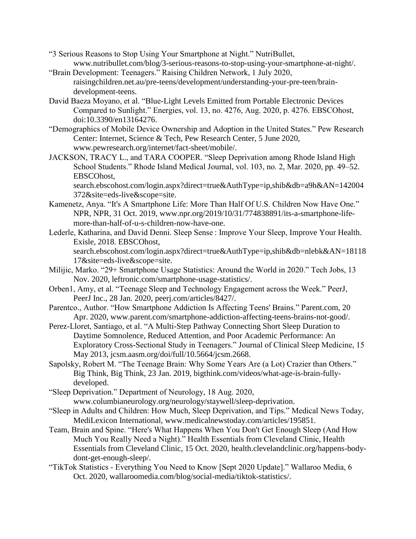- "3 Serious Reasons to Stop Using Your Smartphone at Night." NutriBullet, www.nutribullet.com/blog/3-serious-reasons-to-stop-using-your-smartphone-at-night/.
- "Brain Development: Teenagers." Raising Children Network, 1 July 2020, raisingchildren.net.au/pre-teens/development/understanding-your-pre-teen/braindevelopment-teens.
- David Baeza Moyano, et al. "Blue-Light Levels Emitted from Portable Electronic Devices Compared to Sunlight." Energies, vol. 13, no. 4276, Aug. 2020, p. 4276. EBSCOhost, doi:10.3390/en13164276.
- "Demographics of Mobile Device Ownership and Adoption in the United States." Pew Research Center: Internet, Science & Tech, Pew Research Center, 5 June 2020, www.pewresearch.org/internet/fact-sheet/mobile/.
- JACKSON, TRACY L., and TARA COOPER. "Sleep Deprivation among Rhode Island High School Students." Rhode Island Medical Journal, vol. 103, no. 2, Mar. 2020, pp. 49–52. EBSCOhost,

search.ebscohost.com/login.aspx?direct=true&AuthType=ip,shib&db=a9h&AN=142004 372&site=eds-live&scope=site.

- Kamenetz, Anya. "It's A Smartphone Life: More Than Half Of U.S. Children Now Have One." NPR, NPR, 31 Oct. 2019, www.npr.org/2019/10/31/774838891/its-a-smartphone-lifemore-than-half-of-u-s-children-now-have-one.
- Lederle, Katharina, and David Denni. Sleep Sense : Improve Your Sleep, Improve Your Health. Exisle, 2018. EBSCOhost, search.ebscohost.com/login.aspx?direct=true&AuthType=ip,shib&db=nlebk&AN=18118 17&site=eds-live&scope=site.
- Milijic, Marko. "29+ Smartphone Usage Statistics: Around the World in 2020." Tech Jobs, 13 Nov. 2020, leftronic.com/smartphone-usage-statistics/.
- Orben1, Amy, et al. "Teenage Sleep and Technology Engagement across the Week." PeerJ, PeerJ Inc., 28 Jan. 2020, peerj.com/articles/8427/.
- Parentco., Author. "How Smartphone Addiction Is Affecting Teens' Brains." Parent.com, 20 Apr. 2020, www.parent.com/smartphone-addiction-affecting-teens-brains-not-good/.
- Perez-Lloret, Santiago, et al. "A Multi-Step Pathway Connecting Short Sleep Duration to Daytime Somnolence, Reduced Attention, and Poor Academic Performance: An Exploratory Cross-Sectional Study in Teenagers." Journal of Clinical Sleep Medicine, 15 May 2013, jcsm.aasm.org/doi/full/10.5664/jcsm.2668.
- Sapolsky, Robert M. "The Teenage Brain: Why Some Years Are (a Lot) Crazier than Others." Big Think, Big Think, 23 Jan. 2019, bigthink.com/videos/what-age-is-brain-fullydeveloped.
- "Sleep Deprivation." Department of Neurology, 18 Aug. 2020, www.columbianeurology.org/neurology/staywell/sleep-deprivation.
- "Sleep in Adults and Children: How Much, Sleep Deprivation, and Tips." Medical News Today, MediLexicon International, www.medicalnewstoday.com/articles/195851.
- Team, Brain and Spine. "Here's What Happens When You Don't Get Enough Sleep (And How Much You Really Need a Night)." Health Essentials from Cleveland Clinic, Health Essentials from Cleveland Clinic, 15 Oct. 2020, health.clevelandclinic.org/happens-bodydont-get-enough-sleep/.
- "TikTok Statistics Everything You Need to Know [Sept 2020 Update]." Wallaroo Media, 6 Oct. 2020, wallaroomedia.com/blog/social-media/tiktok-statistics/.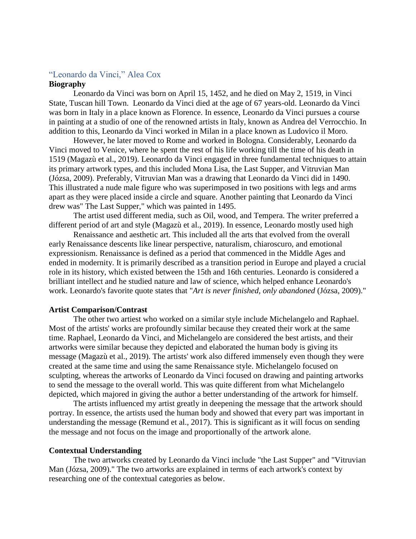# <span id="page-45-0"></span>"Leonardo da Vinci," Alea Cox

# **Biography**

Leonardo da Vinci was born on April 15, 1452, and he died on May 2, 1519, in Vinci State, Tuscan hill Town. Leonardo da Vinci died at the age of 67 years-old. Leonardo da Vinci was born in Italy in a place known as Florence. In essence, Leonardo da Vinci pursues a course in painting at a studio of one of the renowned artists in Italy, known as Andrea del Verrocchio. In addition to this, Leonardo da Vinci worked in Milan in a place known as Ludovico il Moro.

However, he later moved to Rome and worked in Bologna. Considerably, Leonardo da Vinci moved to Venice, where he spent the rest of his life working till the time of his death in 1519 (Magazù et al., 2019). Leonardo da Vinci engaged in three fundamental techniques to attain its primary artwork types, and this included Mona Lisa, the Last Supper, and Vitruvian Man (Józsa, 2009). Preferably, Vitruvian Man was a drawing that Leonardo da Vinci did in 1490. This illustrated a nude male figure who was superimposed in two positions with legs and arms apart as they were placed inside a circle and square. Another painting that Leonardo da Vinci drew was" The Last Supper," which was painted in 1495.

The artist used different media, such as Oil, wood, and Tempera. The writer preferred a different period of art and style (Magazù et al., 2019). In essence, Leonardo mostly used high

Renaissance and aesthetic art. This included all the arts that evolved from the overall early Renaissance descents like linear perspective, naturalism, chiaroscuro, and emotional expressionism. Renaissance is defined as a period that commenced in the Middle Ages and ended in modernity. It is primarily described as a transition period in Europe and played a crucial role in its history, which existed between the 15th and 16th centuries. Leonardo is considered a brilliant intellect and he studied nature and law of science, which helped enhance Leonardo's work. Leonardo's favorite quote states that "*Art is never finished, only abandoned* (Józsa, 2009)."

#### **Artist Comparison/Contrast**

The other two artiest who worked on a similar style include Michelangelo and Raphael. Most of the artists' works are profoundly similar because they created their work at the same time. Raphael, Leonardo da Vinci, and Michelangelo are considered the best artists, and their artworks were similar because they depicted and elaborated the human body is giving its message (Magazù et al., 2019). The artists' work also differed immensely even though they were created at the same time and using the same Renaissance style. Michelangelo focused on sculpting, whereas the artworks of Leonardo da Vinci focused on drawing and painting artworks to send the message to the overall world. This was quite different from what Michelangelo depicted, which majored in giving the author a better understanding of the artwork for himself.

The artists influenced my artist greatly in deepening the message that the artwork should portray. In essence, the artists used the human body and showed that every part was important in understanding the message (Remund et al., 2017). This is significant as it will focus on sending the message and not focus on the image and proportionally of the artwork alone.

#### **Contextual Understanding**

The two artworks created by Leonardo da Vinci include "the Last Supper" and "Vitruvian Man (Józsa, 2009)." The two artworks are explained in terms of each artwork's context by researching one of the contextual categories as below.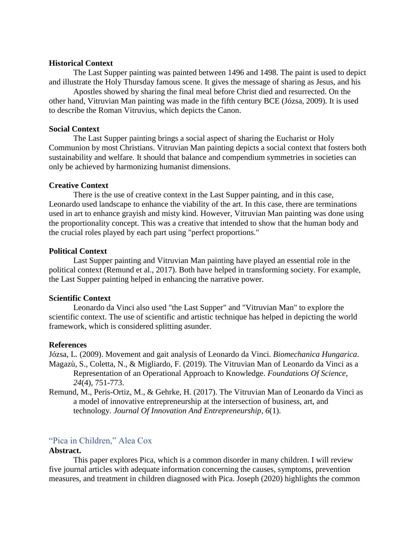#### **Historical Context**

The Last Supper painting was painted between 1496 and 1498. The paint is used to depict and illustrate the Holy Thursday famous scene. It gives the message of sharing as Jesus, and his

Apostles showed by sharing the final meal before Christ died and resurrected. On the other hand, Vitruvian Man painting was made in the fifth century BCE (Józsa, 2009). It is used to describe the Roman Vitruvius, which depicts the Canon.

#### **Social Context**

The Last Supper painting brings a social aspect of sharing the Eucharist or Holy Communion by most Christians. Vitruvian Man painting depicts a social context that fosters both sustainability and welfare. It should that balance and compendium symmetries in societies can only be achieved by harmonizing humanist dimensions.

#### **Creative Context**

There is the use of creative context in the Last Supper painting, and in this case, Leonardo used landscape to enhance the viability of the art. In this case, there are terminations used in art to enhance grayish and misty kind. However, Vitruvian Man painting was done using the proportionality concept. This was a creative that intended to show that the human body and the crucial roles played by each part using "perfect proportions."

# **Political Context**

Last Supper painting and Vitruvian Man painting have played an essential role in the political context (Remund et al., 2017). Both have helped in transforming society. For example, the Last Supper painting helped in enhancing the narrative power.

#### **Scientific Context**

Leonardo da Vinci also used "the Last Supper" and "Vitruvian Man" to explore the scientific context. The use of scientific and artistic technique has helped in depicting the world framework, which is considered splitting asunder.

#### **References**

Józsa, L. (2009). Movement and gait analysis of Leonardo da Vinci. *Biomechanica Hungarica*. Magazù, S., Coletta, N., & Migliardo, F. (2019). The Vitruvian Man of Leonardo da Vinci as a Representation of an Operational Approach to Knowledge. *Foundations Of Science*, *24*(4), 751-773.

Remund, M., Peris-Ortiz, M., & Gehrke, H. (2017). The Vitruvian Man of Leonardo da Vinci as a model of innovative entrepreneurship at the intersection of business, art, and technology. *Journal Of Innovation And Entrepreneurship*, *6*(1).

# <span id="page-46-0"></span>"Pica in Children," Alea Cox

# **Abstract.**

This paper explores Pica, which is a common disorder in many children. I will review five journal articles with adequate information concerning the causes, symptoms, prevention measures, and treatment in children diagnosed with Pica. Joseph (2020) highlights the common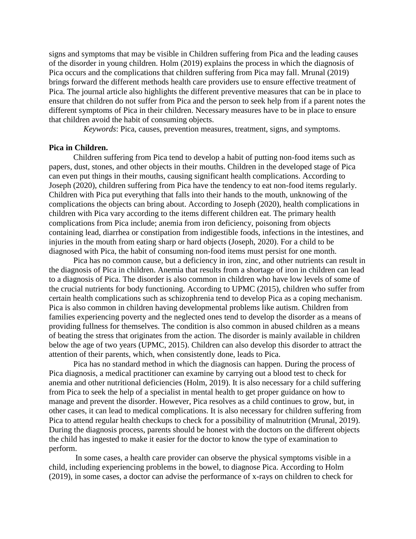signs and symptoms that may be visible in Children suffering from Pica and the leading causes of the disorder in young children. Holm (2019) explains the process in which the diagnosis of Pica occurs and the complications that children suffering from Pica may fall. Mrunal (2019) brings forward the different methods health care providers use to ensure effective treatment of Pica. The journal article also highlights the different preventive measures that can be in place to ensure that children do not suffer from Pica and the person to seek help from if a parent notes the different symptoms of Pica in their children. Necessary measures have to be in place to ensure that children avoid the habit of consuming objects.

 *Keywords*: Pica, causes, prevention measures, treatment, signs, and symptoms.

## **Pica in Children.**

Children suffering from Pica tend to develop a habit of putting non-food items such as papers, dust, stones, and other objects in their mouths. Children in the developed stage of Pica can even put things in their mouths, causing significant health complications. According to Joseph (2020), children suffering from Pica have the tendency to eat non-food items regularly. Children with Pica put everything that falls into their hands to the mouth, unknowing of the complications the objects can bring about. According to Joseph (2020), health complications in children with Pica vary according to the items different children eat. The primary health complications from Pica include; anemia from iron deficiency, poisoning from objects containing lead, diarrhea or constipation from indigestible foods, infections in the intestines, and injuries in the mouth from eating sharp or hard objects (Joseph, 2020). For a child to be diagnosed with Pica, the habit of consuming non-food items must persist for one month.

Pica has no common cause, but a deficiency in iron, zinc, and other nutrients can result in the diagnosis of Pica in children. Anemia that results from a shortage of iron in children can lead to a diagnosis of Pica. The disorder is also common in children who have low levels of some of the crucial nutrients for body functioning. According to UPMC (2015), children who suffer from certain health complications such as schizophrenia tend to develop Pica as a coping mechanism. Pica is also common in children having developmental problems like autism. Children from families experiencing poverty and the neglected ones tend to develop the disorder as a means of providing fullness for themselves. The condition is also common in abused children as a means of beating the stress that originates from the action. The disorder is mainly available in children below the age of two years (UPMC, 2015). Children can also develop this disorder to attract the attention of their parents, which, when consistently done, leads to Pica.

Pica has no standard method in which the diagnosis can happen. During the process of Pica diagnosis, a medical practitioner can examine by carrying out a blood test to check for anemia and other nutritional deficiencies (Holm, 2019). It is also necessary for a child suffering from Pica to seek the help of a specialist in mental health to get proper guidance on how to manage and prevent the disorder. However, Pica resolves as a child continues to grow, but, in other cases, it can lead to medical complications. It is also necessary for children suffering from Pica to attend regular health checkups to check for a possibility of malnutrition (Mrunal, 2019). During the diagnosis process, parents should be honest with the doctors on the different objects the child has ingested to make it easier for the doctor to know the type of examination to perform.

In some cases, a health care provider can observe the physical symptoms visible in a child, including experiencing problems in the bowel, to diagnose Pica. According to Holm (2019), in some cases, a doctor can advise the performance of x-rays on children to check for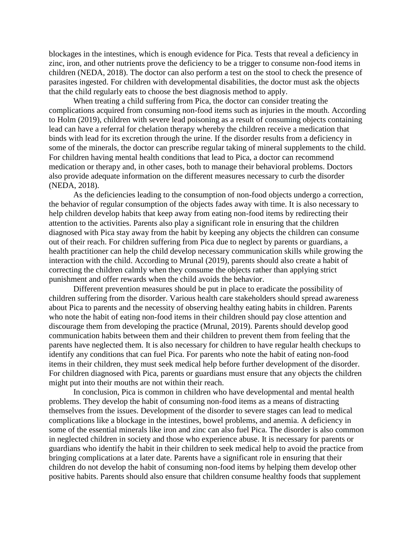blockages in the intestines, which is enough evidence for Pica. Tests that reveal a deficiency in zinc, iron, and other nutrients prove the deficiency to be a trigger to consume non-food items in children (NEDA, 2018). The doctor can also perform a test on the stool to check the presence of parasites ingested. For children with developmental disabilities, the doctor must ask the objects that the child regularly eats to choose the best diagnosis method to apply.

When treating a child suffering from Pica, the doctor can consider treating the complications acquired from consuming non-food items such as injuries in the mouth. According to Holm (2019), children with severe lead poisoning as a result of consuming objects containing lead can have a referral for chelation therapy whereby the children receive a medication that binds with lead for its excretion through the urine. If the disorder results from a deficiency in some of the minerals, the doctor can prescribe regular taking of mineral supplements to the child. For children having mental health conditions that lead to Pica, a doctor can recommend medication or therapy and, in other cases, both to manage their behavioral problems. Doctors also provide adequate information on the different measures necessary to curb the disorder (NEDA, 2018).

As the deficiencies leading to the consumption of non-food objects undergo a correction, the behavior of regular consumption of the objects fades away with time. It is also necessary to help children develop habits that keep away from eating non-food items by redirecting their attention to the activities. Parents also play a significant role in ensuring that the children diagnosed with Pica stay away from the habit by keeping any objects the children can consume out of their reach. For children suffering from Pica due to neglect by parents or guardians, a health practitioner can help the child develop necessary communication skills while growing the interaction with the child. According to Mrunal (2019), parents should also create a habit of correcting the children calmly when they consume the objects rather than applying strict punishment and offer rewards when the child avoids the behavior.

Different prevention measures should be put in place to eradicate the possibility of children suffering from the disorder. Various health care stakeholders should spread awareness about Pica to parents and the necessity of observing healthy eating habits in children. Parents who note the habit of eating non-food items in their children should pay close attention and discourage them from developing the practice (Mrunal, 2019). Parents should develop good communication habits between them and their children to prevent them from feeling that the parents have neglected them. It is also necessary for children to have regular health checkups to identify any conditions that can fuel Pica. For parents who note the habit of eating non-food items in their children, they must seek medical help before further development of the disorder. For children diagnosed with Pica, parents or guardians must ensure that any objects the children might put into their mouths are not within their reach.

In conclusion, Pica is common in children who have developmental and mental health problems. They develop the habit of consuming non-food items as a means of distracting themselves from the issues. Development of the disorder to severe stages can lead to medical complications like a blockage in the intestines, bowel problems, and anemia. A deficiency in some of the essential minerals like iron and zinc can also fuel Pica. The disorder is also common in neglected children in society and those who experience abuse. It is necessary for parents or guardians who identify the habit in their children to seek medical help to avoid the practice from bringing complications at a later date. Parents have a significant role in ensuring that their children do not develop the habit of consuming non-food items by helping them develop other positive habits. Parents should also ensure that children consume healthy foods that supplement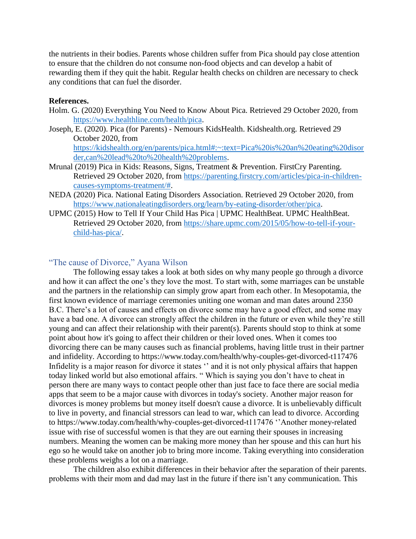the nutrients in their bodies. Parents whose children suffer from Pica should pay close attention to ensure that the children do not consume non-food objects and can develop a habit of rewarding them if they quit the habit. Regular health checks on children are necessary to check any conditions that can fuel the disorder.

## **References.**

- Holm. G. (2020) Everything You Need to Know About Pica. Retrieved 29 October 2020, from [https://www.healthline.com/health/pica.](https://www.healthline.com/health/pica)
- Joseph, E. (2020). Pica (for Parents) Nemours KidsHealth. Kidshealth.org. Retrieved 29 October 2020, from [https://kidshealth.org/en/parents/pica.html#:~:text=Pica%20is%20an%20eating%20disor](https://kidshealth.org/en/parents/pica.html#:~:text=Pica%20is%20an%20eating%20disorder,can%20lead%20to%20health%20problems) [der,can%20lead%20to%20health%20problems.](https://kidshealth.org/en/parents/pica.html#:~:text=Pica%20is%20an%20eating%20disorder,can%20lead%20to%20health%20problems)
- Mrunal (2019) Pica in Kids: Reasons, Signs, Treatment & Prevention. FirstCry Parenting. Retrieved 29 October 2020, from [https://parenting.firstcry.com/articles/pica-in-children](https://parenting.firstcry.com/articles/pica-in-children-causes-symptoms-treatment/)[causes-symptoms-treatment/#.](https://parenting.firstcry.com/articles/pica-in-children-causes-symptoms-treatment/)
- NEDA (2020) Pica. National Eating Disorders Association. Retrieved 29 October 2020, from [https://www.nationaleatingdisorders.org/learn/by-eating-disorder/other/pica.](https://www.nationaleatingdisorders.org/learn/by-eating-disorder/other/pica)
- UPMC (2015) How to Tell If Your Child Has Pica | UPMC HealthBeat. UPMC HealthBeat. Retrieved 29 October 2020, from [https://share.upmc.com/2015/05/how-to-tell-if-your](https://share.upmc.com/2015/05/how-to-tell-if-your-child-has-pica/)[child-has-pica/.](https://share.upmc.com/2015/05/how-to-tell-if-your-child-has-pica/)

# <span id="page-49-0"></span>"The cause of Divorce," Ayana Wilson

The following essay takes a look at both sides on why many people go through a divorce and how it can affect the one's they love the most. To start with, some marriages can be unstable and the partners in the relationship can simply grow apart from each other. In Mesopotamia, the first known evidence of marriage ceremonies uniting one woman and man dates around 2350 B.C. There's a lot of causes and effects on divorce some may have a good effect, and some may have a bad one. A divorce can strongly affect the children in the future or even while they're still young and can affect their relationship with their parent(s). Parents should stop to think at some point about how it's going to affect their children or their loved ones. When it comes too divorcing there can be many causes such as financial problems, having little trust in their partner and infidelity. According to https://www.today.com/health/why-couples-get-divorced-t117476 Infidelity is a major reason for divorce it states '' and it is not only physical affairs that happen today linked world but also emotional affairs. " Which is saying you don't have to cheat in person there are many ways to contact people other than just face to face there are social media apps that seem to be a major cause with divorces in today's society. Another major reason for divorces is money problems but money itself doesn't cause a divorce. It is unbelievably difficult to live in poverty, and financial stressors can lead to war, which can lead to divorce. According to https://www.today.com/health/why-couples-get-divorced-t117476 ''Another money-related issue with rise of successful women is that they are out earning their spouses in increasing numbers. Meaning the women can be making more money than her spouse and this can hurt his ego so he would take on another job to bring more income. Taking everything into consideration these problems weighs a lot on a marriage.

The children also exhibit differences in their behavior after the separation of their parents. problems with their mom and dad may last in the future if there isn't any communication. This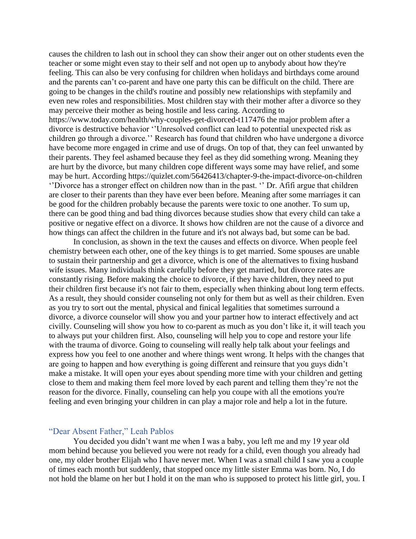causes the children to lash out in school they can show their anger out on other students even the teacher or some might even stay to their self and not open up to anybody about how they're feeling. This can also be very confusing for children when holidays and birthdays come around and the parents can't co-parent and have one party this can be difficult on the child. There are going to be changes in the child's routine and possibly new relationships with stepfamily and even new roles and responsibilities. Most children stay with their mother after a divorce so they may perceive their mother as being hostile and less caring. According to https://www.today.com/health/why-couples-get-divorced-t117476 the major problem after a divorce is destructive behavior ''Unresolved conflict can lead to potential unexpected risk as children go through a divorce.'' Research has found that children who have undergone a divorce have become more engaged in crime and use of drugs. On top of that, they can feel unwanted by their parents. They feel ashamed because they feel as they did something wrong. Meaning they are hurt by the divorce, but many children cope different ways some may have relief, and some may be hurt. According https://quizlet.com/56426413/chapter-9-the-impact-divorce-on-children ''Divorce has a stronger effect on children now than in the past. '' Dr. Afifi argue that children are closer to their parents than they have ever been before. Meaning after some marriages it can be good for the children probably because the parents were toxic to one another. To sum up, there can be good thing and bad thing divorces because studies show that every child can take a positive or negative effect on a divorce. It shows how children are not the cause of a divorce and how things can affect the children in the future and it's not always bad, but some can be bad.

In conclusion, as shown in the text the causes and effects on divorce. When people feel chemistry between each other, one of the key things is to get married. Some spouses are unable to sustain their partnership and get a divorce, which is one of the alternatives to fixing husband wife issues. Many individuals think carefully before they get married, but divorce rates are constantly rising. Before making the choice to divorce, if they have children, they need to put their children first because it's not fair to them, especially when thinking about long term effects. As a result, they should consider counseling not only for them but as well as their children. Even as you try to sort out the mental, physical and finical legalities that sometimes surround a divorce, a divorce counselor will show you and your partner how to interact effectively and act civilly. Counseling will show you how to co-parent as much as you don't like it, it will teach you to always put your children first. Also, counseling will help you to cope and restore your life with the trauma of divorce. Going to counseling will really help talk about your feelings and express how you feel to one another and where things went wrong. It helps with the changes that are going to happen and how everything is going different and reinsure that you guys didn't make a mistake. It will open your eyes about spending more time with your children and getting close to them and making them feel more loved by each parent and telling them they're not the reason for the divorce. Finally, counseling can help you coupe with all the emotions you're feeling and even bringing your children in can play a major role and help a lot in the future.

#### <span id="page-50-0"></span>"Dear Absent Father," Leah Pablos

You decided you didn't want me when I was a baby, you left me and my 19 year old mom behind because you believed you were not ready for a child, even though you already had one, my older brother Elijah who I have never met. When I was a small child I saw you a couple of times each month but suddenly, that stopped once my little sister Emma was born. No, I do not hold the blame on her but I hold it on the man who is supposed to protect his little girl, you. I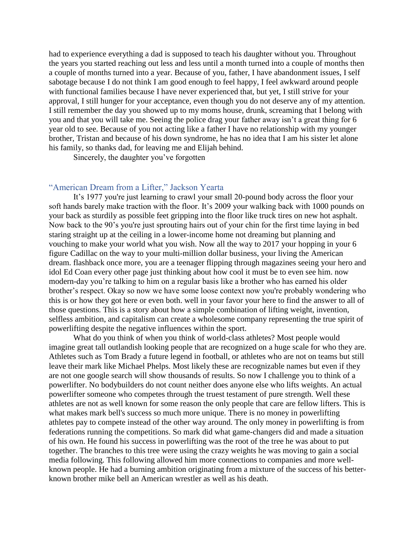had to experience everything a dad is supposed to teach his daughter without you. Throughout the years you started reaching out less and less until a month turned into a couple of months then a couple of months turned into a year. Because of you, father, I have abandonment issues, I self sabotage because I do not think I am good enough to feel happy, I feel awkward around people with functional families because I have never experienced that, but yet, I still strive for your approval, I still hunger for your acceptance, even though you do not deserve any of my attention. I still remember the day you showed up to my moms house, drunk, screaming that I belong with you and that you will take me. Seeing the police drag your father away isn't a great thing for 6 year old to see. Because of you not acting like a father I have no relationship with my younger brother, Tristan and because of his down syndrome, he has no idea that I am his sister let alone his family, so thanks dad, for leaving me and Elijah behind.

Sincerely, the daughter you've forgotten

# <span id="page-51-0"></span>"American Dream from a Lifter," Jackson Yearta

It's 1977 you're just learning to crawl your small 20-pound body across the floor your soft hands barely make traction with the floor. It's 2009 your walking back with 1000 pounds on your back as sturdily as possible feet gripping into the floor like truck tires on new hot asphalt. Now back to the 90's you're just sprouting hairs out of your chin for the first time laying in bed staring straight up at the ceiling in a lower-income home not dreaming but planning and vouching to make your world what you wish. Now all the way to 2017 your hopping in your 6 figure Cadillac on the way to your multi-million dollar business, your living the American dream. flashback once more, you are a teenager flipping through magazines seeing your hero and idol Ed Coan every other page just thinking about how cool it must be to even see him. now modern-day you're talking to him on a regular basis like a brother who has earned his older brother's respect. Okay so now we have some loose context now you're probably wondering who this is or how they got here or even both. well in your favor your here to find the answer to all of those questions. This is a story about how a simple combination of lifting weight, invention, selfless ambition, and capitalism can create a wholesome company representing the true spirit of powerlifting despite the negative influences within the sport.

What do you think of when you think of world-class athletes? Most people would imagine great tall outlandish looking people that are recognized on a huge scale for who they are. Athletes such as Tom Brady a future legend in football, or athletes who are not on teams but still leave their mark like Michael Phelps. Most likely these are recognizable names but even if they are not one google search will show thousands of results. So now I challenge you to think of a powerlifter. No bodybuilders do not count neither does anyone else who lifts weights. An actual powerlifter someone who competes through the truest testament of pure strength. Well these athletes are not as well known for some reason the only people that care are fellow lifters. This is what makes mark bell's success so much more unique. There is no money in powerlifting athletes pay to compete instead of the other way around. The only money in powerlifting is from federations running the competitions. So mark did what game-changers did and made a situation of his own. He found his success in powerlifting was the root of the tree he was about to put together. The branches to this tree were using the crazy weights he was moving to gain a social media following. This following allowed him more connections to companies and more wellknown people. He had a burning ambition originating from a mixture of the success of his betterknown brother mike bell an American wrestler as well as his death.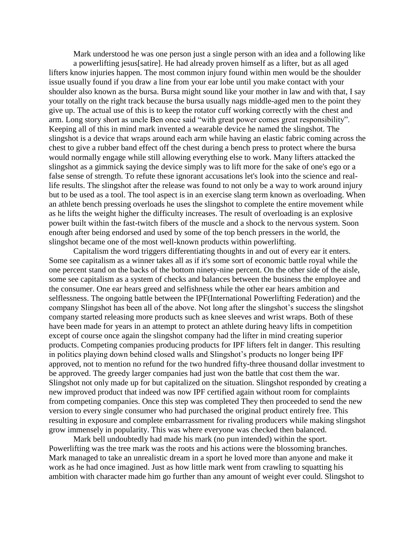Mark understood he was one person just a single person with an idea and a following like

a powerlifting jesus[satire]. He had already proven himself as a lifter, but as all aged lifters know injuries happen. The most common injury found within men would be the shoulder issue usually found if you draw a line from your ear lobe until you make contact with your shoulder also known as the bursa. Bursa might sound like your mother in law and with that, I say your totally on the right track because the bursa usually nags middle-aged men to the point they give up. The actual use of this is to keep the rotator cuff working correctly with the chest and arm. Long story short as uncle Ben once said "with great power comes great responsibility". Keeping all of this in mind mark invented a wearable device he named the slingshot. The slingshot is a device that wraps around each arm while having an elastic fabric coming across the chest to give a rubber band effect off the chest during a bench press to protect where the bursa would normally engage while still allowing everything else to work. Many lifters attacked the slingshot as a gimmick saying the device simply was to lift more for the sake of one's ego or a false sense of strength. To refute these ignorant accusations let's look into the science and reallife results. The slingshot after the release was found to not only be a way to work around injury but to be used as a tool. The tool aspect is in an exercise slang term known as overloading. When an athlete bench pressing overloads he uses the slingshot to complete the entire movement while as he lifts the weight higher the difficulty increases. The result of overloading is an explosive power built within the fast-twitch fibers of the muscle and a shock to the nervous system. Soon enough after being endorsed and used by some of the top bench pressers in the world, the slingshot became one of the most well-known products within powerlifting.

Capitalism the word triggers differentiating thoughts in and out of every ear it enters. Some see capitalism as a winner takes all as if it's some sort of economic battle royal while the one percent stand on the backs of the bottom ninety-nine percent. On the other side of the aisle, some see capitalism as a system of checks and balances between the business the employee and the consumer. One ear hears greed and selfishness while the other ear hears ambition and selflessness. The ongoing battle between the IPF(International Powerlifting Federation) and the company Slingshot has been all of the above. Not long after the slingshot's success the slingshot company started releasing more products such as knee sleeves and wrist wraps. Both of these have been made for years in an attempt to protect an athlete during heavy lifts in competition except of course once again the slingshot company had the lifter in mind creating superior products. Competing companies producing products for IPF lifters felt in danger. This resulting in politics playing down behind closed walls and Slingshot's products no longer being IPF approved, not to mention no refund for the two hundred fifty-three thousand dollar investment to be approved. The greedy larger companies had just won the battle that cost them the war. Slingshot not only made up for but capitalized on the situation. Slingshot responded by creating a new improved product that indeed was now IPF certified again without room for complaints from competing companies. Once this step was completed They then proceeded to send the new version to every single consumer who had purchased the original product entirely free. This resulting in exposure and complete embarrassment for rivaling producers while making slingshot grow immensely in popularity. This was where everyone was checked then balanced.

Mark bell undoubtedly had made his mark (no pun intended) within the sport. Powerlifting was the tree mark was the roots and his actions were the blossoming branches. Mark managed to take an unrealistic dream in a sport he loved more than anyone and make it work as he had once imagined. Just as how little mark went from crawling to squatting his ambition with character made him go further than any amount of weight ever could. Slingshot to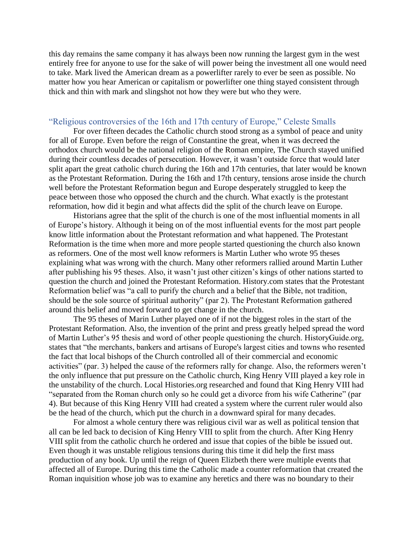this day remains the same company it has always been now running the largest gym in the west entirely free for anyone to use for the sake of will power being the investment all one would need to take. Mark lived the American dream as a powerlifter rarely to ever be seen as possible. No matter how you hear American or capitalism or powerlifter one thing stayed consistent through thick and thin with mark and slingshot not how they were but who they were.

## <span id="page-53-0"></span>"Religious controversies of the 16th and 17th century of Europe," Celeste Smalls

For over fifteen decades the Catholic church stood strong as a symbol of peace and unity for all of Europe. Even before the reign of Constantine the great, when it was decreed the orthodox church would be the national religion of the Roman empire, The Church stayed unified during their countless decades of persecution. However, it wasn't outside force that would later split apart the great catholic church during the 16th and 17th centuries, that later would be known as the Protestant Reformation. During the 16th and 17th century, tensions arose inside the church well before the Protestant Reformation begun and Europe desperately struggled to keep the peace between those who opposed the church and the church. What exactly is the protestant reformation, how did it begin and what affects did the split of the church leave on Europe.

Historians agree that the split of the church is one of the most influential moments in all of Europe's history. Although it being on of the most influential events for the most part people know little information about the Protestant reformation and what happened. The Protestant Reformation is the time when more and more people started questioning the church also known as reformers. One of the most well know reformers is Martin Luther who wrote 95 theses explaining what was wrong with the church. Many other reformers rallied around Martin Luther after publishing his 95 theses. Also, it wasn't just other citizen's kings of other nations started to question the church and joined the Protestant Reformation. History.com states that the Protestant Reformation belief was "a call to purify the church and a belief that the Bible, not tradition, should be the sole source of spiritual authority" (par 2). The Protestant Reformation gathered around this belief and moved forward to get change in the church.

The 95 theses of Marin Luther played one of if not the biggest roles in the start of the Protestant Reformation. Also, the invention of the print and press greatly helped spread the word of Martin Luther's 95 thesis and word of other people questioning the church. HistoryGuide.org, states that "the merchants, bankers and artisans of Europe's largest cities and towns who resented the fact that local bishops of the Church controlled all of their commercial and economic activities" (par. 3) helped the cause of the reformers rally for change. Also, the reformers weren't the only influence that put pressure on the Catholic church, King Henry VIII played a key role in the unstability of the church. Local Histories.org researched and found that King Henry VIII had "separated from the Roman church only so he could get a divorce from his wife Catherine" (par 4). But because of this King Henry VIII had created a system where the current ruler would also be the head of the church, which put the church in a downward spiral for many decades.

For almost a whole century there was religious civil war as well as political tension that all can be led back to decision of King Henry VIII to split from the church. After King Henry VIII split from the catholic church he ordered and issue that copies of the bible be issued out. Even though it was unstable religious tensions during this time it did help the first mass production of any book. Up until the reign of Queen Elizbeth there were multiple events that affected all of Europe. During this time the Catholic made a counter reformation that created the Roman inquisition whose job was to examine any heretics and there was no boundary to their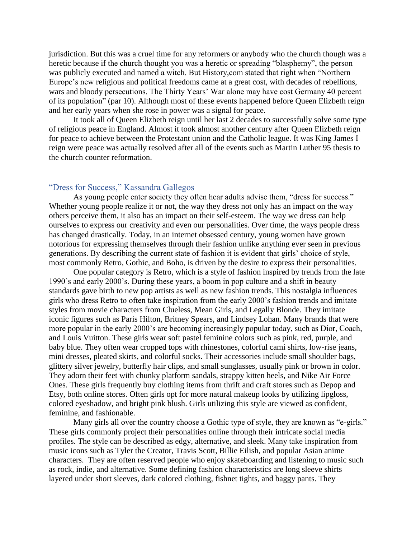jurisdiction. But this was a cruel time for any reformers or anybody who the church though was a heretic because if the church thought you was a heretic or spreading "blasphemy", the person was publicly executed and named a witch. But History,com stated that right when "Northern Europe's new religious and political freedoms came at a great cost, with decades of rebellions, wars and bloody persecutions. The Thirty Years' War alone may have cost Germany 40 percent of its population" (par 10). Although most of these events happened before Queen Elizbeth reign and her early years when she rose in power was a signal for peace.

It took all of Queen Elizbeth reign until her last 2 decades to successfully solve some type of religious peace in England. Almost it took almost another century after Queen Elizbeth reign for peace to achieve between the Protestant union and the Catholic league. It was King James I reign were peace was actually resolved after all of the events such as Martin Luther 95 thesis to the church counter reformation.

# <span id="page-54-0"></span>"Dress for Success," Kassandra Gallegos

As young people enter society they often hear adults advise them, "dress for success." Whether young people realize it or not, the way they dress not only has an impact on the way others perceive them, it also has an impact on their self-esteem. The way we dress can help ourselves to express our creativity and even our personalities. Over time, the ways people dress has changed drastically. Today, in an internet obsessed century, young women have grown notorious for expressing themselves through their fashion unlike anything ever seen in previous generations. By describing the current state of fashion it is evident that girls' choice of style, most commonly Retro, Gothic, and Boho, is driven by the desire to express their personalities.

One popular category is Retro, which is a style of fashion inspired by trends from the late 1990's and early 2000's. During these years, a boom in pop culture and a shift in beauty standards gave birth to new pop artists as well as new fashion trends. This nostalgia influences girls who dress Retro to often take inspiration from the early 2000's fashion trends and imitate styles from movie characters from Clueless, Mean Girls, and Legally Blonde. They imitate iconic figures such as Paris Hilton, Britney Spears, and Lindsey Lohan. Many brands that were more popular in the early 2000's are becoming increasingly popular today, such as Dior, Coach, and Louis Vuitton. These girls wear soft pastel feminine colors such as pink, red, purple, and baby blue. They often wear cropped tops with rhinestones, colorful cami shirts, low-rise jeans, mini dresses, pleated skirts, and colorful socks. Their accessories include small shoulder bags, glittery silver jewelry, butterfly hair clips, and small sunglasses, usually pink or brown in color. They adorn their feet with chunky platform sandals, strappy kitten heels, and Nike Air Force Ones. These girls frequently buy clothing items from thrift and craft stores such as Depop and Etsy, both online stores. Often girls opt for more natural makeup looks by utilizing lipgloss, colored eyeshadow, and bright pink blush. Girls utilizing this style are viewed as confident, feminine, and fashionable.

Many girls all over the country choose a Gothic type of style, they are known as "e-girls." These girls commonly project their personalities online through their intricate social media profiles. The style can be described as edgy, alternative, and sleek. Many take inspiration from music icons such as Tyler the Creator, Travis Scott, Billie Eilish, and popular Asian anime characters. They are often reserved people who enjoy skateboarding and listening to music such as rock, indie, and alternative. Some defining fashion characteristics are long sleeve shirts layered under short sleeves, dark colored clothing, fishnet tights, and baggy pants. They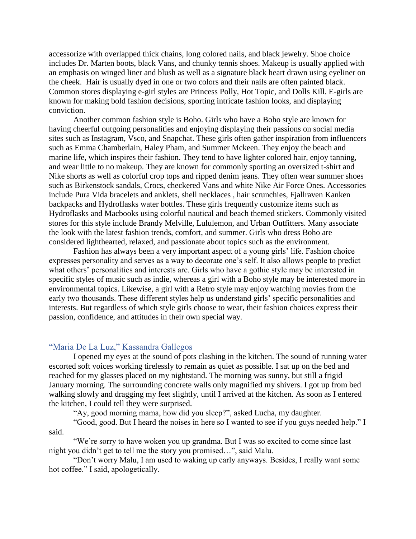accessorize with overlapped thick chains, long colored nails, and black jewelry. Shoe choice includes Dr. Marten boots, black Vans, and chunky tennis shoes. Makeup is usually applied with an emphasis on winged liner and blush as well as a signature black heart drawn using eyeliner on the cheek. Hair is usually dyed in one or two colors and their nails are often painted black. Common stores displaying e-girl styles are Princess Polly, Hot Topic, and Dolls Kill. E-girls are known for making bold fashion decisions, sporting intricate fashion looks, and displaying conviction.

Another common fashion style is Boho. Girls who have a Boho style are known for having cheerful outgoing personalities and enjoying displaying their passions on social media sites such as Instagram, Vsco, and Snapchat. These girls often gather inspiration from influencers such as Emma Chamberlain, Haley Pham, and Summer Mckeen. They enjoy the beach and marine life, which inspires their fashion. They tend to have lighter colored hair, enjoy tanning, and wear little to no makeup. They are known for commonly sporting an oversized t-shirt and Nike shorts as well as colorful crop tops and ripped denim jeans. They often wear summer shoes such as Birkenstock sandals, Crocs, checkered Vans and white Nike Air Force Ones. Accessories include Pura Vida bracelets and anklets, shell necklaces , hair scrunchies, Fjallraven Kanken backpacks and Hydroflasks water bottles. These girls frequently customize items such as Hydroflasks and Macbooks using colorful nautical and beach themed stickers. Commonly visited stores for this style include Brandy Melville, Lululemon, and Urban Outfitters. Many associate the look with the latest fashion trends, comfort, and summer. Girls who dress Boho are considered lighthearted, relaxed, and passionate about topics such as the environment.

Fashion has always been a very important aspect of a young girls' life. Fashion choice expresses personality and serves as a way to decorate one's self. It also allows people to predict what others' personalities and interests are. Girls who have a gothic style may be interested in specific styles of music such as indie, whereas a girl with a Boho style may be interested more in environmental topics. Likewise, a girl with a Retro style may enjoy watching movies from the early two thousands. These different styles help us understand girls' specific personalities and interests. But regardless of which style girls choose to wear, their fashion choices express their passion, confidence, and attitudes in their own special way.

# <span id="page-55-0"></span>"Maria De La Luz," Kassandra Gallegos

I opened my eyes at the sound of pots clashing in the kitchen. The sound of running water escorted soft voices working tirelessly to remain as quiet as possible. I sat up on the bed and reached for my glasses placed on my nightstand. The morning was sunny, but still a frigid January morning. The surrounding concrete walls only magnified my shivers. I got up from bed walking slowly and dragging my feet slightly, until I arrived at the kitchen. As soon as I entered the kitchen, I could tell they were surprised.

"Ay, good morning mama, how did you sleep?", asked Lucha, my daughter.

"Good, good. But I heard the noises in here so I wanted to see if you guys needed help." I said.

"We're sorry to have woken you up grandma. But I was so excited to come since last night you didn't get to tell me the story you promised…", said Malu.

"Don't worry Malu, I am used to waking up early anyways. Besides, I really want some hot coffee." I said, apologetically.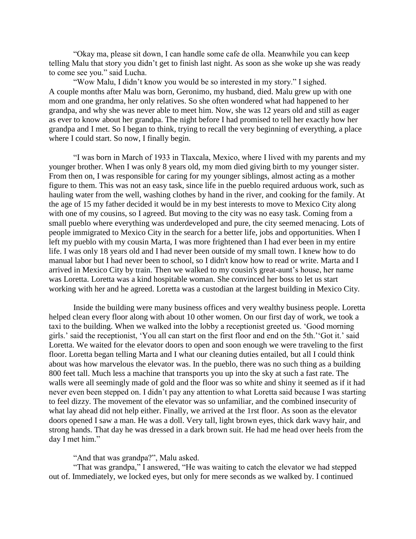"Okay ma, please sit down, I can handle some cafe de olla. Meanwhile you can keep telling Malu that story you didn't get to finish last night. As soon as she woke up she was ready to come see you." said Lucha.

"Wow Malu, I didn't know you would be so interested in my story." I sighed. A couple months after Malu was born, Geronimo, my husband, died. Malu grew up with one mom and one grandma, her only relatives. So she often wondered what had happened to her grandpa, and why she was never able to meet him. Now, she was 12 years old and still as eager as ever to know about her grandpa. The night before I had promised to tell her exactly how her grandpa and I met. So I began to think, trying to recall the very beginning of everything, a place where I could start. So now, I finally begin.

"I was born in March of 1933 in Tlaxcala, Mexico, where I lived with my parents and my younger brother. When I was only 8 years old, my mom died giving birth to my younger sister. From then on, I was responsible for caring for my younger siblings, almost acting as a mother figure to them. This was not an easy task, since life in the pueblo required arduous work, such as hauling water from the well, washing clothes by hand in the river, and cooking for the family. At the age of 15 my father decided it would be in my best interests to move to Mexico City along with one of my cousins, so I agreed. But moving to the city was no easy task. Coming from a small pueblo where everything was underdeveloped and pure, the city seemed menacing. Lots of people immigrated to Mexico City in the search for a better life, jobs and opportunities. When I left my pueblo with my cousin Marta, I was more frightened than I had ever been in my entire life. I was only 18 years old and I had never been outside of my small town. I knew how to do manual labor but I had never been to school, so I didn't know how to read or write. Marta and I arrived in Mexico City by train. Then we walked to my cousin's great-aunt's house, her name was Loretta. Loretta was a kind hospitable woman. She convinced her boss to let us start working with her and he agreed. Loretta was a custodian at the largest building in Mexico City.

Inside the building were many business offices and very wealthy business people. Loretta helped clean every floor along with about 10 other women. On our first day of work, we took a taxi to the building. When we walked into the lobby a receptionist greeted us. 'Good morning girls.' said the receptionist, 'You all can start on the first floor and end on the 5th.''Got it.' said Loretta. We waited for the elevator doors to open and soon enough we were traveling to the first floor. Loretta began telling Marta and I what our cleaning duties entailed, but all I could think about was how marvelous the elevator was. In the pueblo, there was no such thing as a building 800 feet tall. Much less a machine that transports you up into the sky at such a fast rate. The walls were all seemingly made of gold and the floor was so white and shiny it seemed as if it had never even been stepped on. I didn't pay any attention to what Loretta said because I was starting to feel dizzy. The movement of the elevator was so unfamiliar, and the combined insecurity of what lay ahead did not help either. Finally, we arrived at the 1rst floor. As soon as the elevator doors opened I saw a man. He was a doll. Very tall, light brown eyes, thick dark wavy hair, and strong hands. That day he was dressed in a dark brown suit. He had me head over heels from the day I met him."

#### "And that was grandpa?", Malu asked.

"That was grandpa," I answered, "He was waiting to catch the elevator we had stepped out of. Immediately, we locked eyes, but only for mere seconds as we walked by. I continued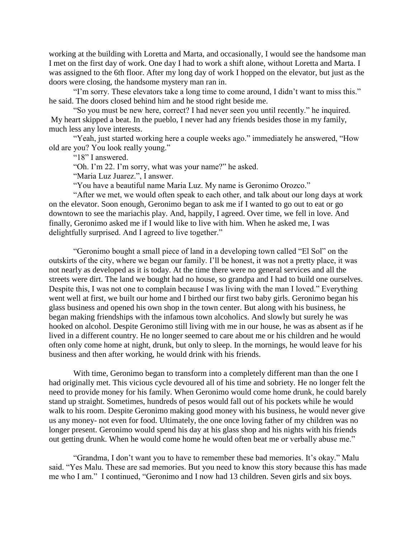working at the building with Loretta and Marta, and occasionally, I would see the handsome man I met on the first day of work. One day I had to work a shift alone, without Loretta and Marta. I was assigned to the 6th floor. After my long day of work I hopped on the elevator, but just as the doors were closing, the handsome mystery man ran in.

"I'm sorry. These elevators take a long time to come around, I didn't want to miss this." he said. The doors closed behind him and he stood right beside me.

"So you must be new here, correct? I had never seen you until recently." he inquired. My heart skipped a beat. In the pueblo, I never had any friends besides those in my family, much less any love interests.

"Yeah, just started working here a couple weeks ago." immediately he answered, "How old are you? You look really young."

"18" I answered.

"Oh. I'm 22. I'm sorry, what was your name?" he asked.

"Maria Luz Juarez.", I answer.

"You have a beautiful name Maria Luz. My name is Geronimo Orozco."

"After we met, we would often speak to each other, and talk about our long days at work on the elevator. Soon enough, Geronimo began to ask me if I wanted to go out to eat or go downtown to see the mariachis play. And, happily, I agreed. Over time, we fell in love. And finally, Geronimo asked me if I would like to live with him. When he asked me, I was delightfully surprised. And I agreed to live together."

"Geronimo bought a small piece of land in a developing town called "El Sol" on the outskirts of the city, where we began our family. I'll be honest, it was not a pretty place, it was not nearly as developed as it is today. At the time there were no general services and all the streets were dirt. The land we bought had no house, so grandpa and I had to build one ourselves. Despite this, I was not one to complain because I was living with the man I loved." Everything went well at first, we built our home and I birthed our first two baby girls. Geronimo began his glass business and opened his own shop in the town center. But along with his business, he began making friendships with the infamous town alcoholics. And slowly but surely he was hooked on alcohol. Despite Geronimo still living with me in our house, he was as absent as if he lived in a different country. He no longer seemed to care about me or his children and he would often only come home at night, drunk, but only to sleep. In the mornings, he would leave for his business and then after working, he would drink with his friends.

With time, Geronimo began to transform into a completely different man than the one I had originally met. This vicious cycle devoured all of his time and sobriety. He no longer felt the need to provide money for his family. When Geronimo would come home drunk, he could barely stand up straight. Sometimes, hundreds of pesos would fall out of his pockets while he would walk to his room. Despite Geronimo making good money with his business, he would never give us any money- not even for food. Ultimately, the one once loving father of my children was no longer present. Geronimo would spend his day at his glass shop and his nights with his friends out getting drunk. When he would come home he would often beat me or verbally abuse me."

"Grandma, I don't want you to have to remember these bad memories. It's okay." Malu said. "Yes Malu. These are sad memories. But you need to know this story because this has made me who I am." I continued, "Geronimo and I now had 13 children. Seven girls and six boys.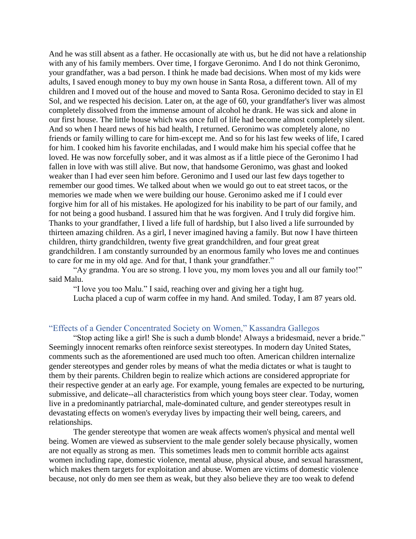And he was still absent as a father. He occasionally ate with us, but he did not have a relationship with any of his family members. Over time, I forgave Geronimo. And I do not think Geronimo, your grandfather, was a bad person. I think he made bad decisions. When most of my kids were adults, I saved enough money to buy my own house in Santa Rosa, a different town. All of my children and I moved out of the house and moved to Santa Rosa. Geronimo decided to stay in El Sol, and we respected his decision. Later on, at the age of 60, your grandfather's liver was almost completely dissolved from the immense amount of alcohol he drank. He was sick and alone in our first house. The little house which was once full of life had become almost completely silent. And so when I heard news of his bad health, I returned. Geronimo was completely alone, no friends or family willing to care for him-except me. And so for his last few weeks of life, I cared for him. I cooked him his favorite enchiladas, and I would make him his special coffee that he loved. He was now forcefully sober, and it was almost as if a little piece of the Geronimo I had fallen in love with was still alive. But now, that handsome Geronimo, was ghast and looked weaker than I had ever seen him before. Geronimo and I used our last few days together to remember our good times. We talked about when we would go out to eat street tacos, or the memories we made when we were building our house. Geronimo asked me if I could ever forgive him for all of his mistakes. He apologized for his inability to be part of our family, and for not being a good husband. I assured him that he was forgiven. And I truly did forgive him. Thanks to your grandfather, I lived a life full of hardship, but I also lived a life surrounded by thirteen amazing children. As a girl, I never imagined having a family. But now I have thirteen children, thirty grandchildren, twenty five great grandchildren, and four great great grandchildren. I am constantly surrounded by an enormous family who loves me and continues to care for me in my old age. And for that, I thank your grandfather."

"Ay grandma. You are so strong. I love you, my mom loves you and all our family too!" said Malu.

"I love you too Malu." I said, reaching over and giving her a tight hug.

Lucha placed a cup of warm coffee in my hand. And smiled. Today, I am 87 years old.

# <span id="page-58-0"></span>"Effects of a Gender Concentrated Society on Women," Kassandra Gallegos

"Stop acting like a girl! She is such a dumb blonde! Always a bridesmaid, never a bride." Seemingly innocent remarks often reinforce sexist stereotypes. In modern day United States, comments such as the aforementioned are used much too often. American children internalize gender stereotypes and gender roles by means of what the media dictates or what is taught to them by their parents. Children begin to realize which actions are considered appropriate for their respective gender at an early age. For example, young females are expected to be nurturing, submissive, and delicate--all characteristics from which young boys steer clear. Today, women live in a predominantly patriarchal, male-dominated culture, and gender stereotypes result in devastating effects on women's everyday lives by impacting their well being, careers, and relationships.

The gender stereotype that women are weak affects women's physical and mental well being. Women are viewed as subservient to the male gender solely because physically, women are not equally as strong as men. This sometimes leads men to commit horrible acts against women including rape, domestic violence, mental abuse, physical abuse, and sexual harassment, which makes them targets for exploitation and abuse. Women are victims of domestic violence because, not only do men see them as weak, but they also believe they are too weak to defend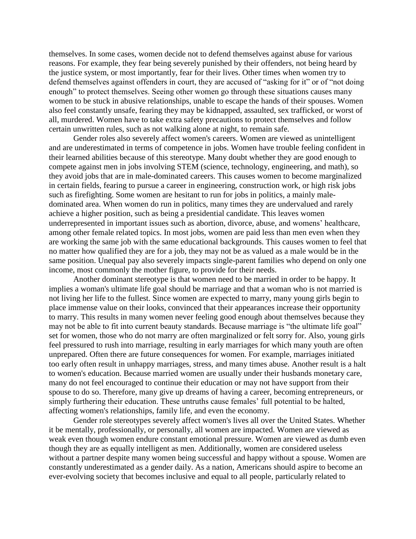themselves. In some cases, women decide not to defend themselves against abuse for various reasons. For example, they fear being severely punished by their offenders, not being heard by the justice system, or most importantly, fear for their lives. Other times when women try to defend themselves against offenders in court, they are accused of "asking for it" or of "not doing enough" to protect themselves. Seeing other women go through these situations causes many women to be stuck in abusive relationships, unable to escape the hands of their spouses. Women also feel constantly unsafe, fearing they may be kidnapped, assaulted, sex trafficked, or worst of all, murdered. Women have to take extra safety precautions to protect themselves and follow certain unwritten rules, such as not walking alone at night, to remain safe.

Gender roles also severely affect women's careers. Women are viewed as unintelligent and are underestimated in terms of competence in jobs. Women have trouble feeling confident in their learned abilities because of this stereotype. Many doubt whether they are good enough to compete against men in jobs involving STEM (science, technology, engineering, and math), so they avoid jobs that are in male-dominated careers. This causes women to become marginalized in certain fields, fearing to pursue a career in engineering, construction work, or high risk jobs such as firefighting. Some women are hesitant to run for jobs in politics, a mainly maledominated area. When women do run in politics, many times they are undervalued and rarely achieve a higher position, such as being a presidential candidate. This leaves women underrepresented in important issues such as abortion, divorce, abuse, and womens' healthcare, among other female related topics. In most jobs, women are paid less than men even when they are working the same job with the same educational backgrounds. This causes women to feel that no matter how qualified they are for a job, they may not be as valued as a male would be in the same position. Unequal pay also severely impacts single-parent families who depend on only one income, most commonly the mother figure, to provide for their needs.

Another dominant stereotype is that women need to be married in order to be happy. It implies a woman's ultimate life goal should be marriage and that a woman who is not married is not living her life to the fullest. Since women are expected to marry, many young girls begin to place immense value on their looks, convinced that their appearances increase their opportunity to marry. This results in many women never feeling good enough about themselves because they may not be able to fit into current beauty standards. Because marriage is "the ultimate life goal" set for women, those who do not marry are often marginalized or felt sorry for. Also, young girls feel pressured to rush into marriage, resulting in early marriages for which many youth are often unprepared. Often there are future consequences for women. For example, marriages initiated too early often result in unhappy marriages, stress, and many times abuse. Another result is a halt to women's education. Because married women are usually under their husbands monetary care, many do not feel encouraged to continue their education or may not have support from their spouse to do so. Therefore, many give up dreams of having a career, becoming entrepreneurs, or simply furthering their education. These untruths cause females' full potential to be halted, affecting women's relationships, family life, and even the economy.

Gender role stereotypes severely affect women's lives all over the United States. Whether it be mentally, professionally, or personally, all women are impacted. Women are viewed as weak even though women endure constant emotional pressure. Women are viewed as dumb even though they are as equally intelligent as men. Additionally, women are considered useless without a partner despite many women being successful and happy without a spouse. Women are constantly underestimated as a gender daily. As a nation, Americans should aspire to become an ever-evolving society that becomes inclusive and equal to all people, particularly related to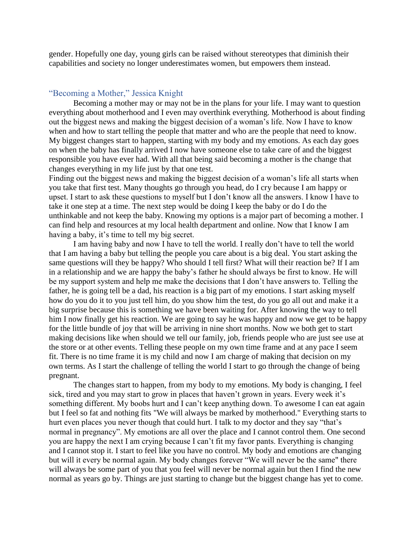gender. Hopefully one day, young girls can be raised without stereotypes that diminish their capabilities and society no longer underestimates women, but empowers them instead.

# <span id="page-60-0"></span>"Becoming a Mother," Jessica Knight

Becoming a mother may or may not be in the plans for your life. I may want to question everything about motherhood and I even may overthink everything. Motherhood is about finding out the biggest news and making the biggest decision of a woman's life. Now I have to know when and how to start telling the people that matter and who are the people that need to know. My biggest changes start to happen, starting with my body and my emotions. As each day goes on when the baby has finally arrived I now have someone else to take care of and the biggest responsible you have ever had. With all that being said becoming a mother is the change that changes everything in my life just by that one test.

Finding out the biggest news and making the biggest decision of a woman's life all starts when you take that first test. Many thoughts go through you head, do I cry because I am happy or upset. I start to ask these questions to myself but I don't know all the answers. I know I have to take it one step at a time. The next step would be doing I keep the baby or do I do the unthinkable and not keep the baby. Knowing my options is a major part of becoming a mother. I can find help and resources at my local health department and online. Now that I know I am having a baby, it's time to tell my big secret.

I am having baby and now I have to tell the world. I really don't have to tell the world that I am having a baby but telling the people you care about is a big deal. You start asking the same questions will they be happy? Who should I tell first? What will their reaction be? If I am in a relationship and we are happy the baby's father he should always be first to know. He will be my support system and help me make the decisions that I don't have answers to. Telling the father, he is going tell be a dad, his reaction is a big part of my emotions. I start asking myself how do you do it to you just tell him, do you show him the test, do you go all out and make it a big surprise because this is something we have been waiting for. After knowing the way to tell him I now finally get his reaction. We are going to say he was happy and now we get to be happy for the little bundle of joy that will be arriving in nine short months. Now we both get to start making decisions like when should we tell our family, job, friends people who are just see use at the store or at other events. Telling these people on my own time frame and at any pace I seem fit. There is no time frame it is my child and now I am charge of making that decision on my own terms. As I start the challenge of telling the world I start to go through the change of being pregnant.

The changes start to happen, from my body to my emotions. My body is changing, I feel sick, tired and you may start to grow in places that haven't grown in years. Every week it's something different. My boobs hurt and I can't keep anything down. To awesome I can eat again but I feel so fat and nothing fits "We will always be marked by motherhood." Everything starts to hurt even places you never though that could hurt. I talk to my doctor and they say "that's normal in pregnancy". My emotions are all over the place and I cannot control them. One second you are happy the next I am crying because I can't fit my favor pants. Everything is changing and I cannot stop it. I start to feel like you have no control. My body and emotions are changing but will it every be normal again. My body changes forever "We will never be the same" there will always be some part of you that you feel will never be normal again but then I find the new normal as years go by. Things are just starting to change but the biggest change has yet to come.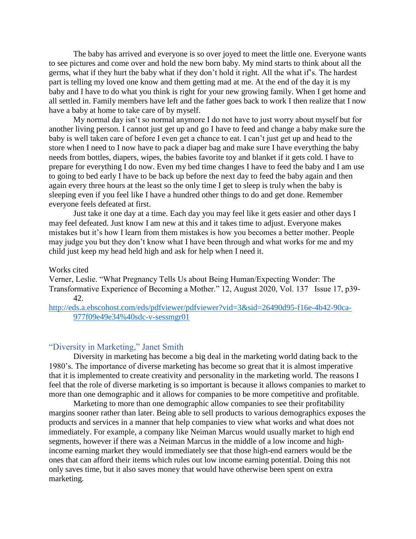The baby has arrived and everyone is so over joyed to meet the little one. Everyone wants to see pictures and come over and hold the new born baby. My mind starts to think about all the germs, what if they hurt the baby what if they don't hold it right. All the what if's. The hardest part is telling my loved one know and them getting mad at me. At the end of the day it is my baby and I have to do what you think is right for your new growing family. When I get home and all settled in. Family members have left and the father goes back to work I then realize that I now have a baby at home to take care of by myself.

My normal day isn't so normal anymore I do not have to just worry about myself but for another living person. I cannot just get up and go I have to feed and change a baby make sure the baby is well taken care of before I even get a chance to eat. I can't just get up and head to the store when I need to I now have to pack a diaper bag and make sure I have everything the baby needs from bottles, diapers, wipes, the babies favorite toy and blanket if it gets cold. I have to prepare for everything I do now. Even my bed time changes I have to feed the baby and I am use to going to bed early I have to be back up before the next day to feed the baby again and then again every three hours at the least so the only time I get to sleep is truly when the baby is sleeping even if you feel like I have a hundred other things to do and get done. Remember everyone feels defeated at first.

Just take it one day at a time. Each day you may feel like it gets easier and other days I may feel defeated. Just know I am new at this and it takes time to adjust. Everyone makes mistakes but it's how I learn from them mistakes is how you becomes a better mother. People may judge you but they don't know what I have been through and what works for me and my child just keep my head held high and ask for help when I need it.

#### Works cited

Verner, Leslie. "What Pregnancy Tells Us about Being Human/Expecting Wonder: The Transformative Experience of Becoming a Mother." 12, August 2020, Vol. 137 Issue 17, p39- 42.

[http://eds.a.ebscohost.com/eds/pdfviewer/pdfviewer?vid=3&sid=26490d95-f16e-4b42-90ca-](http://eds.a.ebscohost.com/eds/pdfviewer/pdfviewer?vid=3&sid=26490d95-f16e-4b42-90ca-977f09e49e34%40sdc-v-sessmgr01)[977f09e49e34%40sdc-v-sessmgr01](http://eds.a.ebscohost.com/eds/pdfviewer/pdfviewer?vid=3&sid=26490d95-f16e-4b42-90ca-977f09e49e34%40sdc-v-sessmgr01)

#### <span id="page-61-0"></span>"Diversity in Marketing," Janet Smith

Diversity in marketing has become a big deal in the marketing world dating back to the 1980's. The importance of diverse marketing has become so great that it is almost imperative that it is implemented to create creativity and personality in the marketing world. The reasons I feel that the role of diverse marketing is so important is because it allows companies to market to more than one demographic and it allows for companies to be more competitive and profitable.

Marketing to more than one demographic allow companies to see their profitability margins sooner rather than later. Being able to sell products to various demographics exposes the products and services in a manner that help companies to view what works and what does not immediately. For example, a company like Neiman Marcus would usually market to high end segments, however if there was a Neiman Marcus in the middle of a low income and highincome earning market they would immediately see that those high-end earners would be the ones that can afford their items which rules out low income earning potential. Doing this not only saves time, but it also saves money that would have otherwise been spent on extra marketing.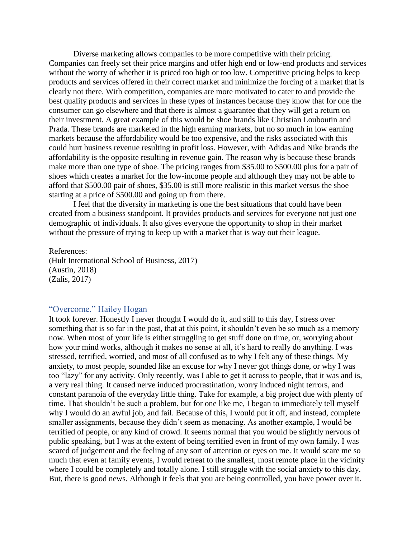Diverse marketing allows companies to be more competitive with their pricing. Companies can freely set their price margins and offer high end or low-end products and services without the worry of whether it is priced too high or too low. Competitive pricing helps to keep products and services offered in their correct market and minimize the forcing of a market that is clearly not there. With competition, companies are more motivated to cater to and provide the best quality products and services in these types of instances because they know that for one the consumer can go elsewhere and that there is almost a guarantee that they will get a return on their investment. A great example of this would be shoe brands like Christian Louboutin and Prada. These brands are marketed in the high earning markets, but no so much in low earning markets because the affordability would be too expensive, and the risks associated with this could hurt business revenue resulting in profit loss. However, with Adidas and Nike brands the affordability is the opposite resulting in revenue gain. The reason why is because these brands make more than one type of shoe. The pricing ranges from \$35.00 to \$500.00 plus for a pair of shoes which creates a market for the low-income people and although they may not be able to afford that \$500.00 pair of shoes, \$35.00 is still more realistic in this market versus the shoe starting at a price of \$500.00 and going up from there.

I feel that the diversity in marketing is one the best situations that could have been created from a business standpoint. It provides products and services for everyone not just one demographic of individuals. It also gives everyone the opportunity to shop in their market without the pressure of trying to keep up with a market that is way out their league.

References: (Hult International School of Business, 2017) (Austin, 2018) (Zalis, 2017)

#### <span id="page-62-0"></span>"Overcome," Hailey Hogan

It took forever. Honestly I never thought I would do it, and still to this day, I stress over something that is so far in the past, that at this point, it shouldn't even be so much as a memory now. When most of your life is either struggling to get stuff done on time, or, worrying about how your mind works, although it makes no sense at all, it's hard to really do anything. I was stressed, terrified, worried, and most of all confused as to why I felt any of these things. My anxiety, to most people, sounded like an excuse for why I never got things done, or why I was too "lazy" for any activity. Only recently, was I able to get it across to people, that it was and is, a very real thing. It caused nerve induced procrastination, worry induced night terrors, and constant paranoia of the everyday little thing. Take for example, a big project due with plenty of time. That shouldn't be such a problem, but for one like me, I began to immediately tell myself why I would do an awful job, and fail. Because of this, I would put it off, and instead, complete smaller assignments, because they didn't seem as menacing. As another example, I would be terrified of people, or any kind of crowd. It seems normal that you would be slightly nervous of public speaking, but I was at the extent of being terrified even in front of my own family. I was scared of judgement and the feeling of any sort of attention or eyes on me. It would scare me so much that even at family events, I would retreat to the smallest, most remote place in the vicinity where I could be completely and totally alone. I still struggle with the social anxiety to this day. But, there is good news. Although it feels that you are being controlled, you have power over it.